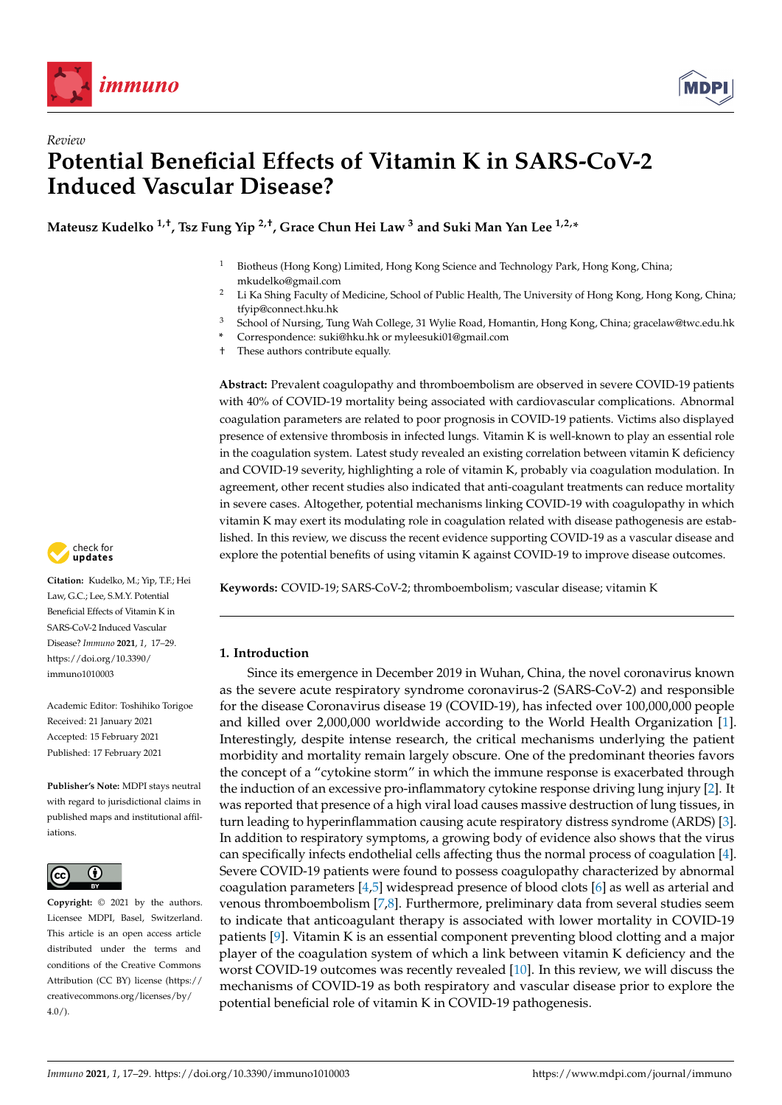

*Review*



# **Potential Beneficial Effects of Vitamin K in SARS-CoV-2 Induced Vascular Disease?**

**Mateusz Kudelko 1,†, Tsz Fung Yip 2,†, Grace Chun Hei Law <sup>3</sup> and Suki Man Yan Lee 1,2,\***

- <sup>1</sup> Biotheus (Hong Kong) Limited, Hong Kong Science and Technology Park, Hong Kong, China; mkudelko@gmail.com
- <sup>2</sup> Li Ka Shing Faculty of Medicine, School of Public Health, The University of Hong Kong, Hong Kong, China; tfyip@connect.hku.hk
- <sup>3</sup> School of Nursing, Tung Wah College, 31 Wylie Road, Homantin, Hong Kong, China; gracelaw@twc.edu.hk
- **\*** Correspondence: suki@hku.hk or myleesuki01@gmail.com
- † These authors contribute equally.

**Abstract:** Prevalent coagulopathy and thromboembolism are observed in severe COVID-19 patients with 40% of COVID-19 mortality being associated with cardiovascular complications. Abnormal coagulation parameters are related to poor prognosis in COVID-19 patients. Victims also displayed presence of extensive thrombosis in infected lungs. Vitamin K is well-known to play an essential role in the coagulation system. Latest study revealed an existing correlation between vitamin K deficiency and COVID-19 severity, highlighting a role of vitamin K, probably via coagulation modulation. In agreement, other recent studies also indicated that anti-coagulant treatments can reduce mortality in severe cases. Altogether, potential mechanisms linking COVID-19 with coagulopathy in which vitamin K may exert its modulating role in coagulation related with disease pathogenesis are established. In this review, we discuss the recent evidence supporting COVID-19 as a vascular disease and explore the potential benefits of using vitamin K against COVID-19 to improve disease outcomes.



**Keywords:** COVID-19; SARS-CoV-2; thromboembolism; vascular disease; vitamin K

## **1. Introduction**

Since its emergence in December 2019 in Wuhan, China, the novel coronavirus known as the severe acute respiratory syndrome coronavirus-2 (SARS-CoV-2) and responsible for the disease Coronavirus disease 19 (COVID-19), has infected over 100,000,000 people and killed over 2,000,000 worldwide according to the World Health Organization [\[1\]](#page-7-0). Interestingly, despite intense research, the critical mechanisms underlying the patient morbidity and mortality remain largely obscure. One of the predominant theories favors the concept of a "cytokine storm" in which the immune response is exacerbated through the induction of an excessive pro-inflammatory cytokine response driving lung injury [\[2\]](#page-7-1). It was reported that presence of a high viral load causes massive destruction of lung tissues, in turn leading to hyperinflammation causing acute respiratory distress syndrome (ARDS) [\[3\]](#page-7-2). In addition to respiratory symptoms, a growing body of evidence also shows that the virus can specifically infects endothelial cells affecting thus the normal process of coagulation [\[4\]](#page-7-3). Severe COVID-19 patients were found to possess coagulopathy characterized by abnormal coagulation parameters [\[4](#page-7-3)[,5\]](#page-7-4) widespread presence of blood clots [\[6\]](#page-8-0) as well as arterial and venous thromboembolism [\[7](#page-8-1)[,8\]](#page-8-2). Furthermore, preliminary data from several studies seem to indicate that anticoagulant therapy is associated with lower mortality in COVID-19 patients [\[9\]](#page-8-3). Vitamin K is an essential component preventing blood clotting and a major player of the coagulation system of which a link between vitamin K deficiency and the worst COVID-19 outcomes was recently revealed [\[10\]](#page-8-4). In this review, we will discuss the mechanisms of COVID-19 as both respiratory and vascular disease prior to explore the potential beneficial role of vitamin K in COVID-19 pathogenesis.



**Citation:** Kudelko, M.; Yip, T.F.; Hei Law, G.C.; Lee, S.M.Y. Potential Beneficial Effects of Vitamin K in SARS-CoV-2 Induced Vascular Disease? *Immuno* **2021**, *1*, 17–29. [https://doi.org/10.3390/](https://doi.org/10.3390/immuno1010003) [immuno1010003](https://doi.org/10.3390/immuno1010003)

Academic Editor: Toshihiko Torigoe Received: 21 January 2021 Accepted: 15 February 2021 Published: 17 February 2021

**Publisher's Note:** MDPI stays neutral with regard to jurisdictional claims in published maps and institutional affiliations.



**Copyright:** © 2021 by the authors. Licensee MDPI, Basel, Switzerland. This article is an open access article distributed under the terms and conditions of the Creative Commons Attribution (CC BY) license (https:/[/](https://creativecommons.org/licenses/by/4.0/) [creativecommons.org/licenses/by/](https://creativecommons.org/licenses/by/4.0/)  $4.0/$ ).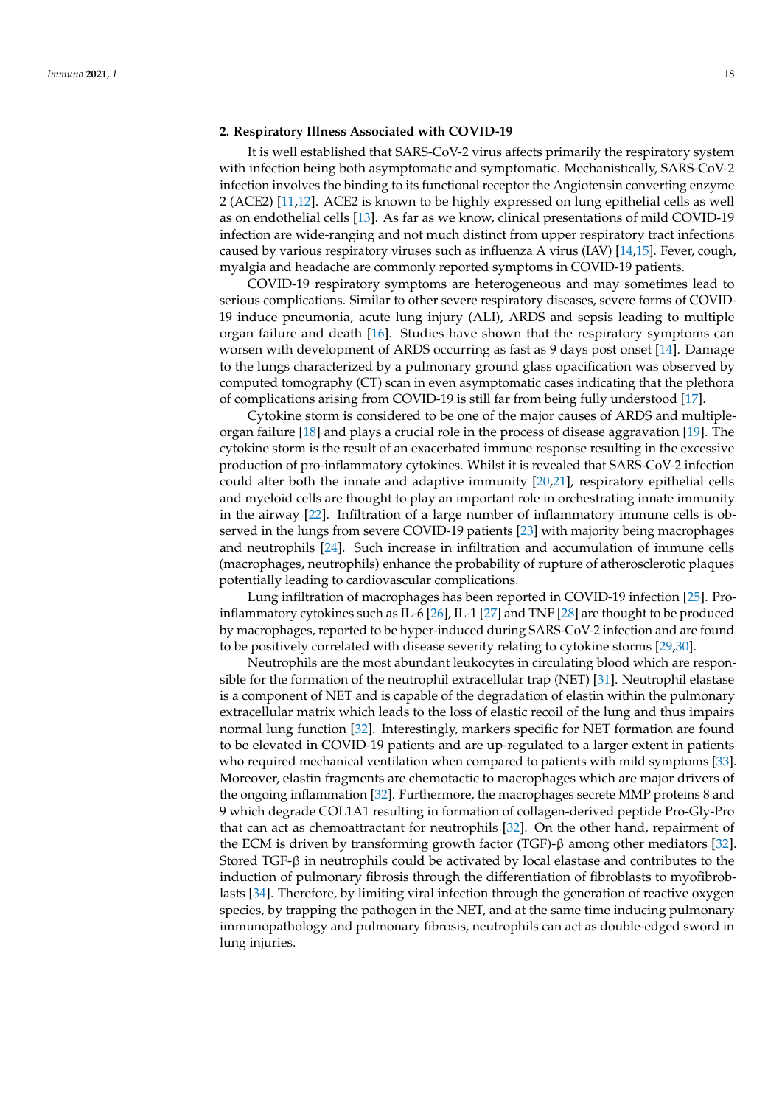#### **2. Respiratory Illness Associated with COVID-19**

It is well established that SARS-CoV-2 virus affects primarily the respiratory system with infection being both asymptomatic and symptomatic. Mechanistically, SARS-CoV-2 infection involves the binding to its functional receptor the Angiotensin converting enzyme 2 (ACE2) [\[11](#page-8-5)[,12\]](#page-8-6). ACE2 is known to be highly expressed on lung epithelial cells as well as on endothelial cells [\[13\]](#page-8-7). As far as we know, clinical presentations of mild COVID-19 infection are wide-ranging and not much distinct from upper respiratory tract infections caused by various respiratory viruses such as influenza A virus (IAV) [\[14](#page-8-8)[,15\]](#page-8-9). Fever, cough, myalgia and headache are commonly reported symptoms in COVID-19 patients.

COVID-19 respiratory symptoms are heterogeneous and may sometimes lead to serious complications. Similar to other severe respiratory diseases, severe forms of COVID-19 induce pneumonia, acute lung injury (ALI), ARDS and sepsis leading to multiple organ failure and death [\[16\]](#page-8-10). Studies have shown that the respiratory symptoms can worsen with development of ARDS occurring as fast as 9 days post onset [\[14\]](#page-8-8). Damage to the lungs characterized by a pulmonary ground glass opacification was observed by computed tomography (CT) scan in even asymptomatic cases indicating that the plethora of complications arising from COVID-19 is still far from being fully understood [\[17\]](#page-8-11).

Cytokine storm is considered to be one of the major causes of ARDS and multipleorgan failure [\[18\]](#page-8-12) and plays a crucial role in the process of disease aggravation [\[19\]](#page-8-13). The cytokine storm is the result of an exacerbated immune response resulting in the excessive production of pro-inflammatory cytokines. Whilst it is revealed that SARS-CoV-2 infection could alter both the innate and adaptive immunity [\[20,](#page-8-14)[21\]](#page-8-15), respiratory epithelial cells and myeloid cells are thought to play an important role in orchestrating innate immunity in the airway [\[22\]](#page-8-16). Infiltration of a large number of inflammatory immune cells is observed in the lungs from severe COVID-19 patients [\[23\]](#page-8-17) with majority being macrophages and neutrophils [\[24\]](#page-8-18). Such increase in infiltration and accumulation of immune cells (macrophages, neutrophils) enhance the probability of rupture of atherosclerotic plaques potentially leading to cardiovascular complications.

Lung infiltration of macrophages has been reported in COVID-19 infection [\[25\]](#page-8-19). Proinflammatory cytokines such as IL-6 [\[26\]](#page-8-20), IL-1 [\[27\]](#page-8-21) and TNF [\[28\]](#page-8-22) are thought to be produced by macrophages, reported to be hyper-induced during SARS-CoV-2 infection and are found to be positively correlated with disease severity relating to cytokine storms [\[29,](#page-8-23)[30\]](#page-9-0).

Neutrophils are the most abundant leukocytes in circulating blood which are responsible for the formation of the neutrophil extracellular trap (NET) [\[31\]](#page-9-1). Neutrophil elastase is a component of NET and is capable of the degradation of elastin within the pulmonary extracellular matrix which leads to the loss of elastic recoil of the lung and thus impairs normal lung function [\[32\]](#page-9-2). Interestingly, markers specific for NET formation are found to be elevated in COVID-19 patients and are up-regulated to a larger extent in patients who required mechanical ventilation when compared to patients with mild symptoms [\[33\]](#page-9-3). Moreover, elastin fragments are chemotactic to macrophages which are major drivers of the ongoing inflammation [\[32\]](#page-9-2). Furthermore, the macrophages secrete MMP proteins 8 and 9 which degrade COL1A1 resulting in formation of collagen-derived peptide Pro-Gly-Pro that can act as chemoattractant for neutrophils [\[32\]](#page-9-2). On the other hand, repairment of the ECM is driven by transforming growth factor (TGF)-β among other mediators [\[32\]](#page-9-2). Stored TGF-β in neutrophils could be activated by local elastase and contributes to the induction of pulmonary fibrosis through the differentiation of fibroblasts to myofibroblasts [\[34\]](#page-9-4). Therefore, by limiting viral infection through the generation of reactive oxygen species, by trapping the pathogen in the NET, and at the same time inducing pulmonary immunopathology and pulmonary fibrosis, neutrophils can act as double-edged sword in lung injuries.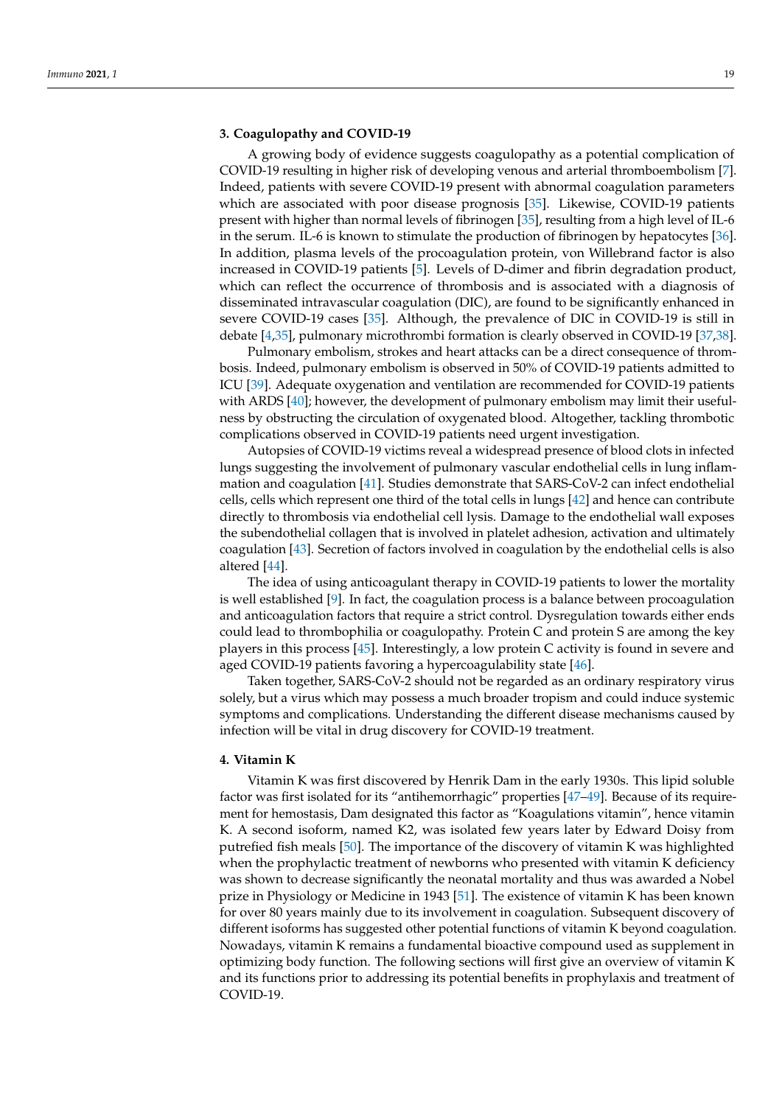#### **3. Coagulopathy and COVID-19**

A growing body of evidence suggests coagulopathy as a potential complication of COVID-19 resulting in higher risk of developing venous and arterial thromboembolism [\[7\]](#page-8-1). Indeed, patients with severe COVID-19 present with abnormal coagulation parameters which are associated with poor disease prognosis [\[35\]](#page-9-5). Likewise, COVID-19 patients present with higher than normal levels of fibrinogen [\[35\]](#page-9-5), resulting from a high level of IL-6 in the serum. IL-6 is known to stimulate the production of fibrinogen by hepatocytes [\[36\]](#page-9-6). In addition, plasma levels of the procoagulation protein, von Willebrand factor is also increased in COVID-19 patients [\[5\]](#page-7-4). Levels of D-dimer and fibrin degradation product, which can reflect the occurrence of thrombosis and is associated with a diagnosis of disseminated intravascular coagulation (DIC), are found to be significantly enhanced in severe COVID-19 cases [\[35\]](#page-9-5). Although, the prevalence of DIC in COVID-19 is still in debate [\[4](#page-7-3)[,35\]](#page-9-5), pulmonary microthrombi formation is clearly observed in COVID-19 [\[37](#page-9-7)[,38\]](#page-9-8).

Pulmonary embolism, strokes and heart attacks can be a direct consequence of thrombosis. Indeed, pulmonary embolism is observed in 50% of COVID-19 patients admitted to ICU [\[39\]](#page-9-9). Adequate oxygenation and ventilation are recommended for COVID-19 patients with ARDS [\[40\]](#page-9-10); however, the development of pulmonary embolism may limit their usefulness by obstructing the circulation of oxygenated blood. Altogether, tackling thrombotic complications observed in COVID-19 patients need urgent investigation.

Autopsies of COVID-19 victims reveal a widespread presence of blood clots in infected lungs suggesting the involvement of pulmonary vascular endothelial cells in lung inflammation and coagulation [\[41\]](#page-9-11). Studies demonstrate that SARS-CoV-2 can infect endothelial cells, cells which represent one third of the total cells in lungs [\[42\]](#page-9-12) and hence can contribute directly to thrombosis via endothelial cell lysis. Damage to the endothelial wall exposes the subendothelial collagen that is involved in platelet adhesion, activation and ultimately coagulation [\[43\]](#page-9-13). Secretion of factors involved in coagulation by the endothelial cells is also altered [\[44\]](#page-9-14).

The idea of using anticoagulant therapy in COVID-19 patients to lower the mortality is well established [\[9\]](#page-8-3). In fact, the coagulation process is a balance between procoagulation and anticoagulation factors that require a strict control. Dysregulation towards either ends could lead to thrombophilia or coagulopathy. Protein C and protein S are among the key players in this process [\[45\]](#page-9-15). Interestingly, a low protein C activity is found in severe and aged COVID-19 patients favoring a hypercoagulability state [\[46\]](#page-9-16).

Taken together, SARS-CoV-2 should not be regarded as an ordinary respiratory virus solely, but a virus which may possess a much broader tropism and could induce systemic symptoms and complications. Understanding the different disease mechanisms caused by infection will be vital in drug discovery for COVID-19 treatment.

### **4. Vitamin K**

Vitamin K was first discovered by Henrik Dam in the early 1930s. This lipid soluble factor was first isolated for its "antihemorrhagic" properties [\[47](#page-9-17)[–49\]](#page-9-18). Because of its requirement for hemostasis, Dam designated this factor as "Koagulations vitamin", hence vitamin K. A second isoform, named K2, was isolated few years later by Edward Doisy from putrefied fish meals [\[50\]](#page-9-19). The importance of the discovery of vitamin K was highlighted when the prophylactic treatment of newborns who presented with vitamin K deficiency was shown to decrease significantly the neonatal mortality and thus was awarded a Nobel prize in Physiology or Medicine in 1943 [\[51\]](#page-9-20). The existence of vitamin K has been known for over 80 years mainly due to its involvement in coagulation. Subsequent discovery of different isoforms has suggested other potential functions of vitamin K beyond coagulation. Nowadays, vitamin K remains a fundamental bioactive compound used as supplement in optimizing body function. The following sections will first give an overview of vitamin K and its functions prior to addressing its potential benefits in prophylaxis and treatment of COVID-19.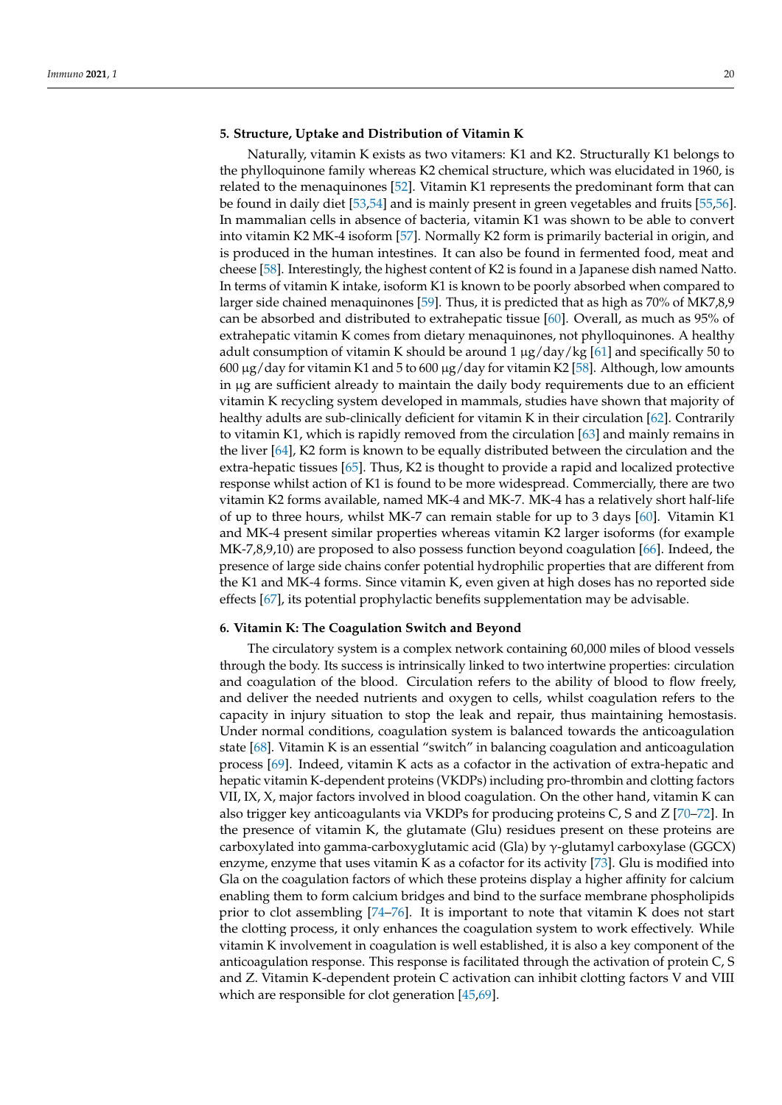#### **5. Structure, Uptake and Distribution of Vitamin K**

Naturally, vitamin K exists as two vitamers: K1 and K2. Structurally K1 belongs to the phylloquinone family whereas K2 chemical structure, which was elucidated in 1960, is related to the menaquinones [\[52\]](#page-9-21). Vitamin K1 represents the predominant form that can be found in daily diet [\[53](#page-9-22)[,54\]](#page-9-23) and is mainly present in green vegetables and fruits [\[55,](#page-9-24)[56\]](#page-9-25). In mammalian cells in absence of bacteria, vitamin K1 was shown to be able to convert into vitamin K2 MK-4 isoform [\[57\]](#page-9-26). Normally K2 form is primarily bacterial in origin, and is produced in the human intestines. It can also be found in fermented food, meat and cheese [\[58\]](#page-9-27). Interestingly, the highest content of K2 is found in a Japanese dish named Natto. In terms of vitamin K intake, isoform K1 is known to be poorly absorbed when compared to larger side chained menaquinones [\[59\]](#page-10-0). Thus, it is predicted that as high as 70% of MK7,8,9 can be absorbed and distributed to extrahepatic tissue [\[60\]](#page-10-1). Overall, as much as 95% of extrahepatic vitamin K comes from dietary menaquinones, not phylloquinones. A healthy adult consumption of vitamin K should be around  $1 \mu g/day/kg$  [\[61\]](#page-10-2) and specifically 50 to  $600 \mu g/day$  for vitamin K1 and 5 to  $600 \mu g/day$  for vitamin K2 [\[58\]](#page-9-27). Although, low amounts in µg are sufficient already to maintain the daily body requirements due to an efficient vitamin K recycling system developed in mammals, studies have shown that majority of healthy adults are sub-clinically deficient for vitamin K in their circulation [\[62\]](#page-10-3). Contrarily to vitamin K1, which is rapidly removed from the circulation [\[63\]](#page-10-4) and mainly remains in the liver [\[64\]](#page-10-5), K2 form is known to be equally distributed between the circulation and the extra-hepatic tissues [\[65\]](#page-10-6). Thus, K2 is thought to provide a rapid and localized protective response whilst action of K1 is found to be more widespread. Commercially, there are two vitamin K2 forms available, named MK-4 and MK-7. MK-4 has a relatively short half-life of up to three hours, whilst MK-7 can remain stable for up to 3 days [\[60\]](#page-10-1). Vitamin K1 and MK-4 present similar properties whereas vitamin K2 larger isoforms (for example MK-7,8,9,10) are proposed to also possess function beyond coagulation [\[66\]](#page-10-7). Indeed, the presence of large side chains confer potential hydrophilic properties that are different from the K1 and MK-4 forms. Since vitamin K, even given at high doses has no reported side effects [\[67\]](#page-10-8), its potential prophylactic benefits supplementation may be advisable.

#### **6. Vitamin K: The Coagulation Switch and Beyond**

The circulatory system is a complex network containing 60,000 miles of blood vessels through the body. Its success is intrinsically linked to two intertwine properties: circulation and coagulation of the blood. Circulation refers to the ability of blood to flow freely, and deliver the needed nutrients and oxygen to cells, whilst coagulation refers to the capacity in injury situation to stop the leak and repair, thus maintaining hemostasis. Under normal conditions, coagulation system is balanced towards the anticoagulation state [\[68\]](#page-10-9). Vitamin K is an essential "switch" in balancing coagulation and anticoagulation process [\[69\]](#page-10-10). Indeed, vitamin K acts as a cofactor in the activation of extra-hepatic and hepatic vitamin K-dependent proteins (VKDPs) including pro-thrombin and clotting factors VII, IX, X, major factors involved in blood coagulation. On the other hand, vitamin K can also trigger key anticoagulants via VKDPs for producing proteins C, S and Z [\[70–](#page-10-11)[72\]](#page-10-12). In the presence of vitamin K, the glutamate (Glu) residues present on these proteins are carboxylated into gamma-carboxyglutamic acid (Gla) by γ-glutamyl carboxylase (GGCX) enzyme, enzyme that uses vitamin K as a cofactor for its activity [\[73\]](#page-10-13). Glu is modified into Gla on the coagulation factors of which these proteins display a higher affinity for calcium enabling them to form calcium bridges and bind to the surface membrane phospholipids prior to clot assembling [\[74](#page-10-14)[–76\]](#page-10-15). It is important to note that vitamin K does not start the clotting process, it only enhances the coagulation system to work effectively. While vitamin K involvement in coagulation is well established, it is also a key component of the anticoagulation response. This response is facilitated through the activation of protein C, S and Z. Vitamin K-dependent protein C activation can inhibit clotting factors V and VIII which are responsible for clot generation [\[45](#page-9-15)[,69\]](#page-10-10).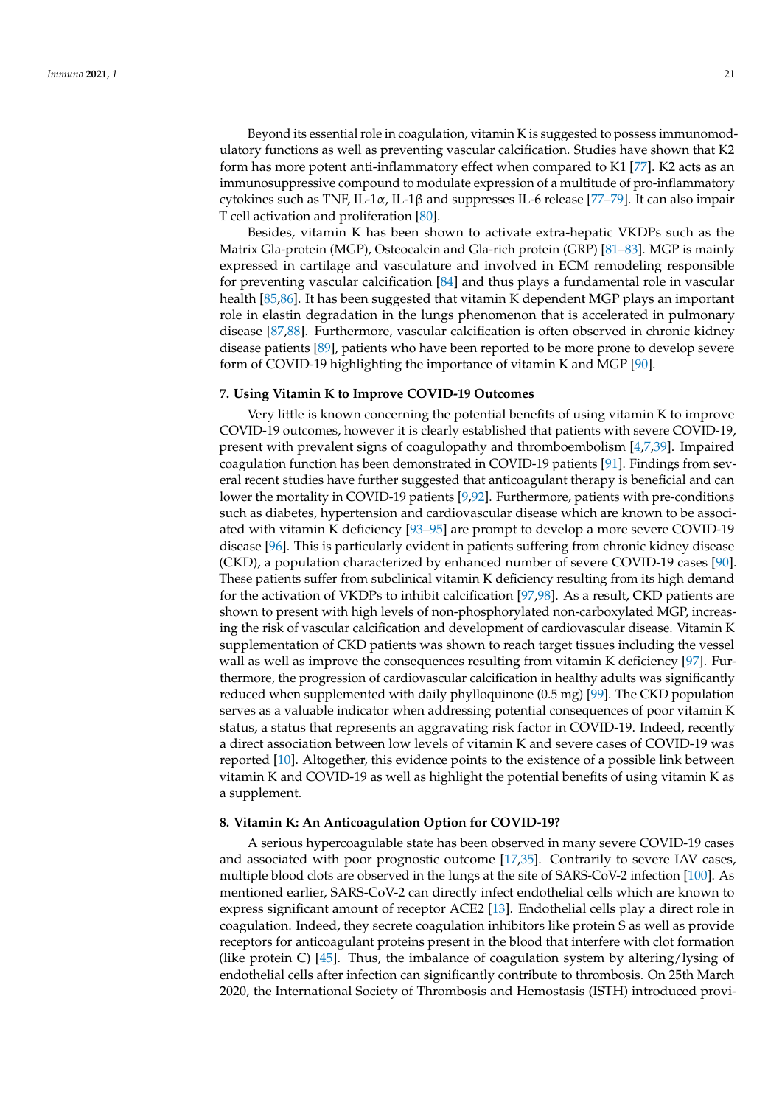Beyond its essential role in coagulation, vitamin K is suggested to possess immunomodulatory functions as well as preventing vascular calcification. Studies have shown that K2 form has more potent anti-inflammatory effect when compared to K1 [\[77\]](#page-10-16). K2 acts as an immunosuppressive compound to modulate expression of a multitude of pro-inflammatory cytokines such as TNF, IL-1 $\alpha$ , IL-1 $\beta$  and suppresses IL-6 release [\[77](#page-10-16)[–79\]](#page-10-17). It can also impair T cell activation and proliferation [\[80\]](#page-10-18).

Besides, vitamin K has been shown to activate extra-hepatic VKDPs such as the Matrix Gla-protein (MGP), Osteocalcin and Gla-rich protein (GRP) [\[81–](#page-10-19)[83\]](#page-10-20). MGP is mainly expressed in cartilage and vasculature and involved in ECM remodeling responsible for preventing vascular calcification [\[84\]](#page-10-21) and thus plays a fundamental role in vascular health [\[85,](#page-10-22)[86\]](#page-11-0). It has been suggested that vitamin K dependent MGP plays an important role in elastin degradation in the lungs phenomenon that is accelerated in pulmonary disease [\[87](#page-11-1)[,88\]](#page-11-2). Furthermore, vascular calcification is often observed in chronic kidney disease patients [\[89\]](#page-11-3), patients who have been reported to be more prone to develop severe form of COVID-19 highlighting the importance of vitamin K and MGP [\[90\]](#page-11-4).

## **7. Using Vitamin K to Improve COVID-19 Outcomes**

Very little is known concerning the potential benefits of using vitamin K to improve COVID-19 outcomes, however it is clearly established that patients with severe COVID-19, present with prevalent signs of coagulopathy and thromboembolism [\[4](#page-7-3)[,7](#page-8-1)[,39\]](#page-9-9). Impaired coagulation function has been demonstrated in COVID-19 patients [\[91\]](#page-11-5). Findings from several recent studies have further suggested that anticoagulant therapy is beneficial and can lower the mortality in COVID-19 patients [\[9,](#page-8-3)[92\]](#page-11-6). Furthermore, patients with pre-conditions such as diabetes, hypertension and cardiovascular disease which are known to be associated with vitamin K deficiency [\[93](#page-11-7)[–95\]](#page-11-8) are prompt to develop a more severe COVID-19 disease [\[96\]](#page-11-9). This is particularly evident in patients suffering from chronic kidney disease (CKD), a population characterized by enhanced number of severe COVID-19 cases [\[90\]](#page-11-4). These patients suffer from subclinical vitamin K deficiency resulting from its high demand for the activation of VKDPs to inhibit calcification [\[97](#page-11-10)[,98\]](#page-11-11). As a result, CKD patients are shown to present with high levels of non-phosphorylated non-carboxylated MGP, increasing the risk of vascular calcification and development of cardiovascular disease. Vitamin K supplementation of CKD patients was shown to reach target tissues including the vessel wall as well as improve the consequences resulting from vitamin K deficiency [\[97\]](#page-11-10). Furthermore, the progression of cardiovascular calcification in healthy adults was significantly reduced when supplemented with daily phylloquinone (0.5 mg) [\[99\]](#page-11-12). The CKD population serves as a valuable indicator when addressing potential consequences of poor vitamin K status, a status that represents an aggravating risk factor in COVID-19. Indeed, recently a direct association between low levels of vitamin K and severe cases of COVID-19 was reported [\[10\]](#page-8-4). Altogether, this evidence points to the existence of a possible link between vitamin K and COVID-19 as well as highlight the potential benefits of using vitamin K as a supplement.

#### **8. Vitamin K: An Anticoagulation Option for COVID-19?**

A serious hypercoagulable state has been observed in many severe COVID-19 cases and associated with poor prognostic outcome [\[17,](#page-8-11)[35\]](#page-9-5). Contrarily to severe IAV cases, multiple blood clots are observed in the lungs at the site of SARS-CoV-2 infection [\[100\]](#page-11-13). As mentioned earlier, SARS-CoV-2 can directly infect endothelial cells which are known to express significant amount of receptor ACE2 [\[13\]](#page-8-7). Endothelial cells play a direct role in coagulation. Indeed, they secrete coagulation inhibitors like protein S as well as provide receptors for anticoagulant proteins present in the blood that interfere with clot formation (like protein C)  $[45]$ . Thus, the imbalance of coagulation system by altering/lysing of endothelial cells after infection can significantly contribute to thrombosis. On 25th March 2020, the International Society of Thrombosis and Hemostasis (ISTH) introduced provi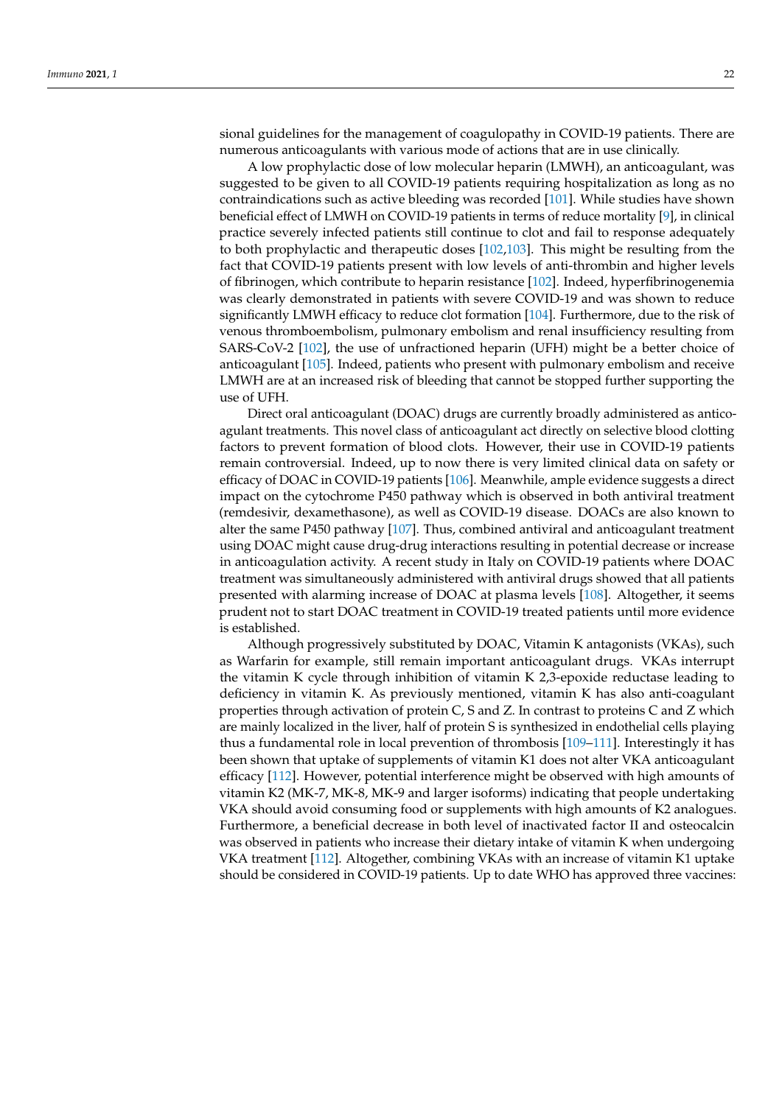sional guidelines for the management of coagulopathy in COVID-19 patients. There are numerous anticoagulants with various mode of actions that are in use clinically.

A low prophylactic dose of low molecular heparin (LMWH), an anticoagulant, was suggested to be given to all COVID-19 patients requiring hospitalization as long as no contraindications such as active bleeding was recorded [\[101\]](#page-11-14). While studies have shown beneficial effect of LMWH on COVID-19 patients in terms of reduce mortality [\[9\]](#page-8-3), in clinical practice severely infected patients still continue to clot and fail to response adequately to both prophylactic and therapeutic doses [\[102](#page-11-15)[,103\]](#page-11-16). This might be resulting from the fact that COVID-19 patients present with low levels of anti-thrombin and higher levels of fibrinogen, which contribute to heparin resistance [\[102\]](#page-11-15). Indeed, hyperfibrinogenemia was clearly demonstrated in patients with severe COVID-19 and was shown to reduce significantly LMWH efficacy to reduce clot formation [\[104\]](#page-11-17). Furthermore, due to the risk of venous thromboembolism, pulmonary embolism and renal insufficiency resulting from SARS-CoV-2 [\[102\]](#page-11-15), the use of unfractioned heparin (UFH) might be a better choice of anticoagulant [\[105\]](#page-11-18). Indeed, patients who present with pulmonary embolism and receive LMWH are at an increased risk of bleeding that cannot be stopped further supporting the use of UFH.

Direct oral anticoagulant (DOAC) drugs are currently broadly administered as anticoagulant treatments. This novel class of anticoagulant act directly on selective blood clotting factors to prevent formation of blood clots. However, their use in COVID-19 patients remain controversial. Indeed, up to now there is very limited clinical data on safety or efficacy of DOAC in COVID-19 patients [\[106\]](#page-11-19). Meanwhile, ample evidence suggests a direct impact on the cytochrome P450 pathway which is observed in both antiviral treatment (remdesivir, dexamethasone), as well as COVID-19 disease. DOACs are also known to alter the same P450 pathway [\[107\]](#page-11-20). Thus, combined antiviral and anticoagulant treatment using DOAC might cause drug-drug interactions resulting in potential decrease or increase in anticoagulation activity. A recent study in Italy on COVID-19 patients where DOAC treatment was simultaneously administered with antiviral drugs showed that all patients presented with alarming increase of DOAC at plasma levels [\[108\]](#page-11-21). Altogether, it seems prudent not to start DOAC treatment in COVID-19 treated patients until more evidence is established.

Although progressively substituted by DOAC, Vitamin K antagonists (VKAs), such as Warfarin for example, still remain important anticoagulant drugs. VKAs interrupt the vitamin K cycle through inhibition of vitamin K 2,3-epoxide reductase leading to deficiency in vitamin K. As previously mentioned, vitamin K has also anti-coagulant properties through activation of protein C, S and Z. In contrast to proteins C and Z which are mainly localized in the liver, half of protein S is synthesized in endothelial cells playing thus a fundamental role in local prevention of thrombosis [\[109](#page-11-22)[–111\]](#page-11-23). Interestingly it has been shown that uptake of supplements of vitamin K1 does not alter VKA anticoagulant efficacy [\[112\]](#page-11-24). However, potential interference might be observed with high amounts of vitamin K2 (MK-7, MK-8, MK-9 and larger isoforms) indicating that people undertaking VKA should avoid consuming food or supplements with high amounts of K2 analogues. Furthermore, a beneficial decrease in both level of inactivated factor II and osteocalcin was observed in patients who increase their dietary intake of vitamin K when undergoing VKA treatment [\[112\]](#page-11-24). Altogether, combining VKAs with an increase of vitamin K1 uptake should be considered in COVID-19 patients. Up to date WHO has approved three vaccines: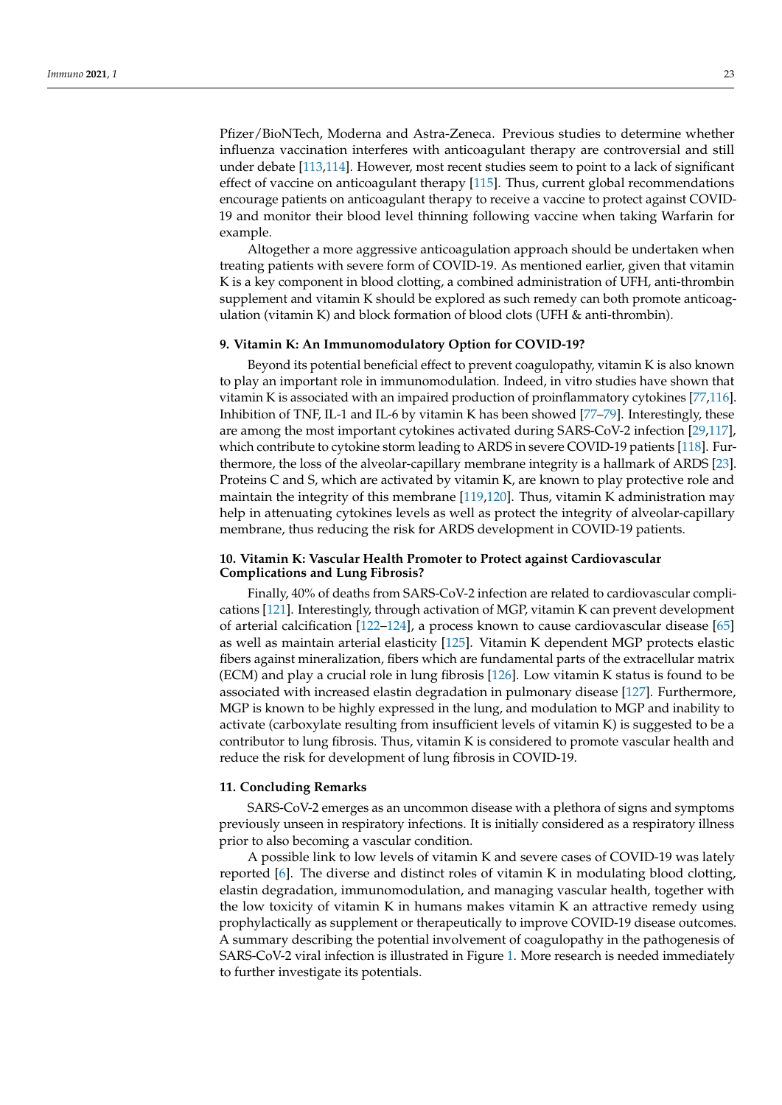Pfizer/BioNTech, Moderna and Astra-Zeneca. Previous studies to determine whether influenza vaccination interferes with anticoagulant therapy are controversial and still under debate [\[113,](#page-11-25)[114\]](#page-12-0). However, most recent studies seem to point to a lack of significant effect of vaccine on anticoagulant therapy [\[115\]](#page-12-1). Thus, current global recommendations encourage patients on anticoagulant therapy to receive a vaccine to protect against COVID-19 and monitor their blood level thinning following vaccine when taking Warfarin for example.

Altogether a more aggressive anticoagulation approach should be undertaken when treating patients with severe form of COVID-19. As mentioned earlier, given that vitamin K is a key component in blood clotting, a combined administration of UFH, anti-thrombin supplement and vitamin K should be explored as such remedy can both promote anticoagulation (vitamin K) and block formation of blood clots (UFH & anti-thrombin).

## **9. Vitamin K: An Immunomodulatory Option for COVID-19?**

Beyond its potential beneficial effect to prevent coagulopathy, vitamin K is also known to play an important role in immunomodulation. Indeed, in vitro studies have shown that vitamin K is associated with an impaired production of proinflammatory cytokines [\[77](#page-10-16)[,116\]](#page-12-2). Inhibition of TNF, IL-1 and IL-6 by vitamin K has been showed [\[77–](#page-10-16)[79\]](#page-10-17). Interestingly, these are among the most important cytokines activated during SARS-CoV-2 infection [\[29,](#page-8-23)[117\]](#page-12-3), which contribute to cytokine storm leading to ARDS in severe COVID-19 patients [\[118\]](#page-12-4). Furthermore, the loss of the alveolar-capillary membrane integrity is a hallmark of ARDS [\[23\]](#page-8-17). Proteins C and S, which are activated by vitamin K, are known to play protective role and maintain the integrity of this membrane [\[119](#page-12-5)[,120\]](#page-12-6). Thus, vitamin K administration may help in attenuating cytokines levels as well as protect the integrity of alveolar-capillary membrane, thus reducing the risk for ARDS development in COVID-19 patients.

## **10. Vitamin K: Vascular Health Promoter to Protect against Cardiovascular Complications and Lung Fibrosis?**

Finally, 40% of deaths from SARS-CoV-2 infection are related to cardiovascular complications [\[121\]](#page-12-7). Interestingly, through activation of MGP, vitamin K can prevent development of arterial calcification [\[122–](#page-12-8)[124\]](#page-12-9), a process known to cause cardiovascular disease [\[65\]](#page-10-6) as well as maintain arterial elasticity [\[125\]](#page-12-10). Vitamin K dependent MGP protects elastic fibers against mineralization, fibers which are fundamental parts of the extracellular matrix (ECM) and play a crucial role in lung fibrosis [\[126\]](#page-12-11). Low vitamin K status is found to be associated with increased elastin degradation in pulmonary disease [\[127\]](#page-12-12). Furthermore, MGP is known to be highly expressed in the lung, and modulation to MGP and inability to activate (carboxylate resulting from insufficient levels of vitamin K) is suggested to be a contributor to lung fibrosis. Thus, vitamin K is considered to promote vascular health and reduce the risk for development of lung fibrosis in COVID-19.

### **11. Concluding Remarks**

SARS-CoV-2 emerges as an uncommon disease with a plethora of signs and symptoms previously unseen in respiratory infections. It is initially considered as a respiratory illness prior to also becoming a vascular condition.

A possible link to low levels of vitamin K and severe cases of COVID-19 was lately reported [\[6\]](#page-8-0). The diverse and distinct roles of vitamin K in modulating blood clotting, elastin degradation, immunomodulation, and managing vascular health, together with the low toxicity of vitamin K in humans makes vitamin K an attractive remedy using prophylactically as supplement or therapeutically to improve COVID-19 disease outcomes. A summary describing the potential involvement of coagulopathy in the pathogenesis of SARS-CoV-2 viral infection is illustrated in Figure [1.](#page-7-5) More research is needed immediately to further investigate its potentials.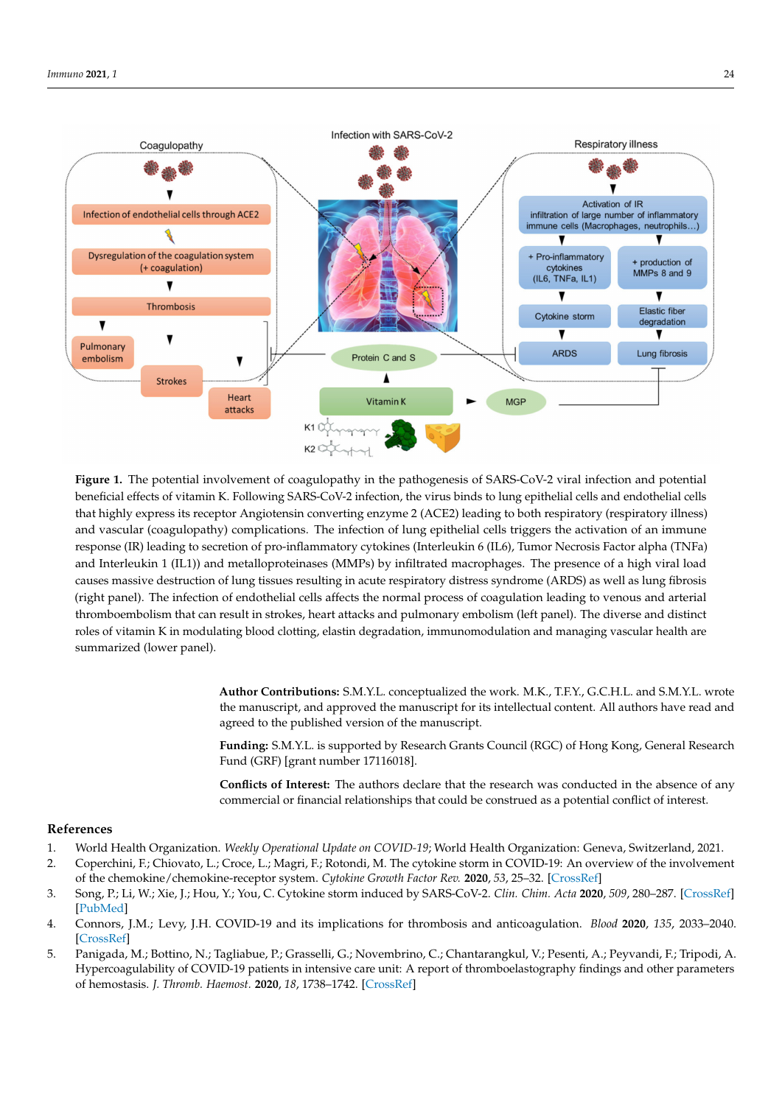<span id="page-7-5"></span>

**Figure 1.** The potential involvement of coagulopathy in the pathogenesis of SARS-CoV-2 viral infection and potential beneficial effects of vitamin K. Following SARS-CoV-2 infection, the virus binds to lung epithelial cells and endothelial cells that highly express its receptor Angiotensin converting enzyme 2 (ACE2) leading to both respiratory (respiratory illness) and vascular (coagulopathy) complications. The infection of lung epithelial cells triggers the activation of an immune response (IR) leading to secretion of pro-inflammatory cytokines (Interleukin 6 (IL6), Tumor Necrosis Factor alpha (TNFa) and Interleukin 1 (IL1)) and metalloproteinases (MMPs) by infiltrated macrophages. The presence of a high viral load causes massive destruction of lung tissues resulting in acute respiratory distress syndrome (ARDS) as well as lung fibrosis (right panel). The infection of endothelial cells affects the normal process of coagulation leading to venous and arterial thromboembolism that can result in strokes, heart attacks and pulmonary embolism (left panel). The diverse and distinct roles of vitamin K in modulating blood clotting, elastin degradation, immunomodulation and managing vascular health are summarized (lower panel).

**Author Contributions:** S.M.Y.L. conceptualized the work. M.K., T.F.Y., G.C.H.L. and S.M.Y.L. wrote the manuscript, and approved the manuscript for its intellectual content. All authors have read and agreed to the published version of the manuscript.

**Funding:** S.M.Y.L. is supported by Research Grants Council (RGC) of Hong Kong, General Research Fund (GRF) [grant number 17116018].

**Conflicts of Interest:** The authors declare that the research was conducted in the absence of any commercial or financial relationships that could be construed as a potential conflict of interest.

## **References**

- <span id="page-7-0"></span>1. World Health Organization. *Weekly Operational Update on COVID-19*; World Health Organization: Geneva, Switzerland, 2021.
- <span id="page-7-1"></span>2. Coperchini, F.; Chiovato, L.; Croce, L.; Magri, F.; Rotondi, M. The cytokine storm in COVID-19: An overview of the involvement of the chemokine/chemokine-receptor system. *Cytokine Growth Factor Rev.* **2020**, *53*, 25–32. [\[CrossRef\]](http://doi.org/10.1016/j.cytogfr.2020.05.003)
- <span id="page-7-2"></span>3. Song, P.; Li, W.; Xie, J.; Hou, Y.; You, C. Cytokine storm induced by SARS-CoV-2. *Clin. Chim. Acta* **2020**, *509*, 280–287. [\[CrossRef\]](http://doi.org/10.1016/j.cca.2020.06.017) [\[PubMed\]](http://www.ncbi.nlm.nih.gov/pubmed/32531256)
- <span id="page-7-3"></span>4. Connors, J.M.; Levy, J.H. COVID-19 and its implications for thrombosis and anticoagulation. *Blood* **2020**, *135*, 2033–2040. [\[CrossRef\]](http://doi.org/10.1182/blood.2020006000)
- <span id="page-7-4"></span>5. Panigada, M.; Bottino, N.; Tagliabue, P.; Grasselli, G.; Novembrino, C.; Chantarangkul, V.; Pesenti, A.; Peyvandi, F.; Tripodi, A. Hypercoagulability of COVID-19 patients in intensive care unit: A report of thromboelastography findings and other parameters of hemostasis. *J. Thromb. Haemost.* **2020**, *18*, 1738–1742. [\[CrossRef\]](http://doi.org/10.1111/jth.14850)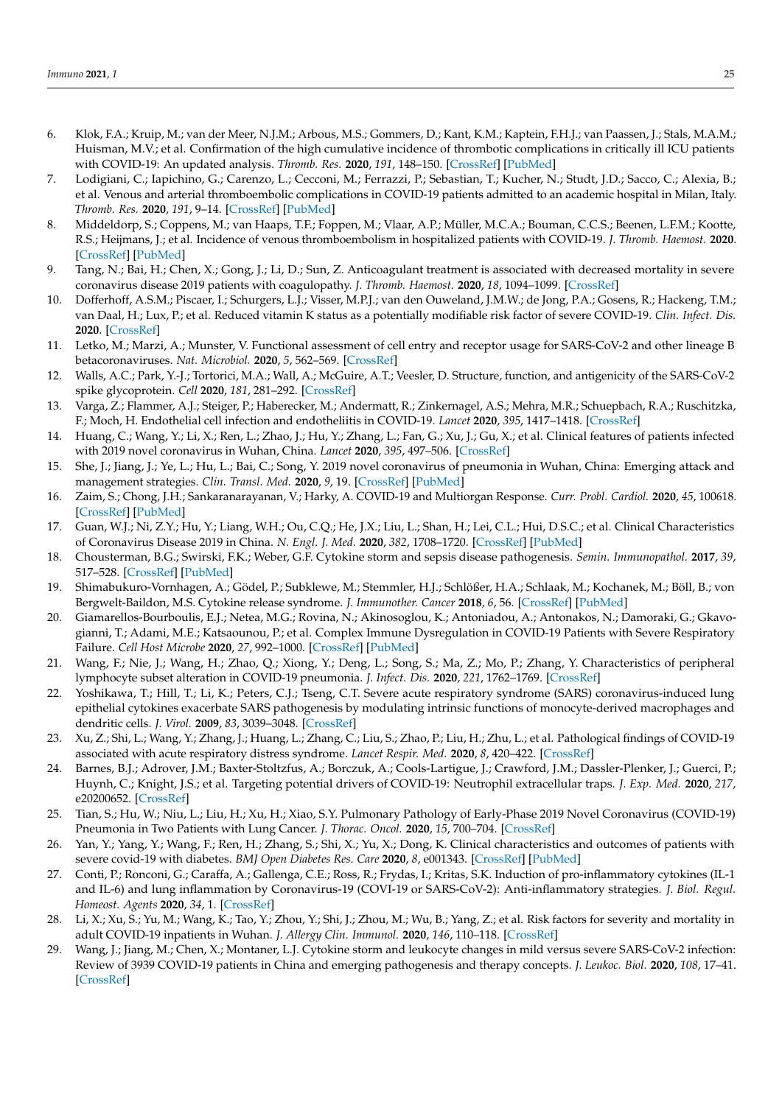- <span id="page-8-0"></span>6. Klok, F.A.; Kruip, M.; van der Meer, N.J.M.; Arbous, M.S.; Gommers, D.; Kant, K.M.; Kaptein, F.H.J.; van Paassen, J.; Stals, M.A.M.; Huisman, M.V.; et al. Confirmation of the high cumulative incidence of thrombotic complications in critically ill ICU patients with COVID-19: An updated analysis. *Thromb. Res.* **2020**, *191*, 148–150. [\[CrossRef\]](http://doi.org/10.1016/j.thromres.2020.04.041) [\[PubMed\]](http://www.ncbi.nlm.nih.gov/pubmed/32381264)
- <span id="page-8-1"></span>7. Lodigiani, C.; Iapichino, G.; Carenzo, L.; Cecconi, M.; Ferrazzi, P.; Sebastian, T.; Kucher, N.; Studt, J.D.; Sacco, C.; Alexia, B.; et al. Venous and arterial thromboembolic complications in COVID-19 patients admitted to an academic hospital in Milan, Italy. *Thromb. Res.* **2020**, *191*, 9–14. [\[CrossRef\]](http://doi.org/10.1016/j.thromres.2020.04.024) [\[PubMed\]](http://www.ncbi.nlm.nih.gov/pubmed/32353746)
- <span id="page-8-2"></span>8. Middeldorp, S.; Coppens, M.; van Haaps, T.F.; Foppen, M.; Vlaar, A.P.; Müller, M.C.A.; Bouman, C.C.S.; Beenen, L.F.M.; Kootte, R.S.; Heijmans, J.; et al. Incidence of venous thromboembolism in hospitalized patients with COVID-19. *J. Thromb. Haemost.* **2020**. [\[CrossRef\]](http://doi.org/10.1111/jth.14888) [\[PubMed\]](http://www.ncbi.nlm.nih.gov/pubmed/32369666)
- <span id="page-8-3"></span>9. Tang, N.; Bai, H.; Chen, X.; Gong, J.; Li, D.; Sun, Z. Anticoagulant treatment is associated with decreased mortality in severe coronavirus disease 2019 patients with coagulopathy. *J. Thromb. Haemost.* **2020**, *18*, 1094–1099. [\[CrossRef\]](http://doi.org/10.1111/jth.14817)
- <span id="page-8-4"></span>10. Dofferhoff, A.S.M.; Piscaer, I.; Schurgers, L.J.; Visser, M.P.J.; van den Ouweland, J.M.W.; de Jong, P.A.; Gosens, R.; Hackeng, T.M.; van Daal, H.; Lux, P.; et al. Reduced vitamin K status as a potentially modifiable risk factor of severe COVID-19. *Clin. Infect. Dis.* **2020**. [\[CrossRef\]](http://doi.org/10.1093/cid/ciaa1258)
- <span id="page-8-5"></span>11. Letko, M.; Marzi, A.; Munster, V. Functional assessment of cell entry and receptor usage for SARS-CoV-2 and other lineage B betacoronaviruses. *Nat. Microbiol.* **2020**, *5*, 562–569. [\[CrossRef\]](http://doi.org/10.1038/s41564-020-0688-y)
- <span id="page-8-6"></span>12. Walls, A.C.; Park, Y.-J.; Tortorici, M.A.; Wall, A.; McGuire, A.T.; Veesler, D. Structure, function, and antigenicity of the SARS-CoV-2 spike glycoprotein. *Cell* **2020**, *181*, 281–292. [\[CrossRef\]](http://doi.org/10.1016/j.cell.2020.02.058)
- <span id="page-8-7"></span>13. Varga, Z.; Flammer, A.J.; Steiger, P.; Haberecker, M.; Andermatt, R.; Zinkernagel, A.S.; Mehra, M.R.; Schuepbach, R.A.; Ruschitzka, F.; Moch, H. Endothelial cell infection and endotheliitis in COVID-19. *Lancet* **2020**, *395*, 1417–1418. [\[CrossRef\]](http://doi.org/10.1016/S0140-6736(20)30937-5)
- <span id="page-8-8"></span>14. Huang, C.; Wang, Y.; Li, X.; Ren, L.; Zhao, J.; Hu, Y.; Zhang, L.; Fan, G.; Xu, J.; Gu, X.; et al. Clinical features of patients infected with 2019 novel coronavirus in Wuhan, China. *Lancet* **2020**, *395*, 497–506. [\[CrossRef\]](http://doi.org/10.1016/S0140-6736(20)30183-5)
- <span id="page-8-9"></span>15. She, J.; Jiang, J.; Ye, L.; Hu, L.; Bai, C.; Song, Y. 2019 novel coronavirus of pneumonia in Wuhan, China: Emerging attack and management strategies. *Clin. Transl. Med.* **2020**, *9*, 19. [\[CrossRef\]](http://doi.org/10.1186/s40169-020-00271-z) [\[PubMed\]](http://www.ncbi.nlm.nih.gov/pubmed/32078069)
- <span id="page-8-10"></span>16. Zaim, S.; Chong, J.H.; Sankaranarayanan, V.; Harky, A. COVID-19 and Multiorgan Response. *Curr. Probl. Cardiol.* **2020**, *45*, 100618. [\[CrossRef\]](http://doi.org/10.1016/j.cpcardiol.2020.100618) [\[PubMed\]](http://www.ncbi.nlm.nih.gov/pubmed/32439197)
- <span id="page-8-11"></span>17. Guan, W.J.; Ni, Z.Y.; Hu, Y.; Liang, W.H.; Ou, C.Q.; He, J.X.; Liu, L.; Shan, H.; Lei, C.L.; Hui, D.S.C.; et al. Clinical Characteristics of Coronavirus Disease 2019 in China. *N. Engl. J. Med.* **2020**, *382*, 1708–1720. [\[CrossRef\]](http://doi.org/10.1056/NEJMoa2002032) [\[PubMed\]](http://www.ncbi.nlm.nih.gov/pubmed/32109013)
- <span id="page-8-12"></span>18. Chousterman, B.G.; Swirski, F.K.; Weber, G.F. Cytokine storm and sepsis disease pathogenesis. *Semin. Immunopathol.* **2017**, *39*, 517–528. [\[CrossRef\]](http://doi.org/10.1007/s00281-017-0639-8) [\[PubMed\]](http://www.ncbi.nlm.nih.gov/pubmed/28555385)
- <span id="page-8-13"></span>19. Shimabukuro-Vornhagen, A.; Gödel, P.; Subklewe, M.; Stemmler, H.J.; Schlößer, H.A.; Schlaak, M.; Kochanek, M.; Böll, B.; von Bergwelt-Baildon, M.S. Cytokine release syndrome. *J. Immunother. Cancer* **2018**, *6*, 56. [\[CrossRef\]](http://doi.org/10.1186/s40425-018-0343-9) [\[PubMed\]](http://www.ncbi.nlm.nih.gov/pubmed/29907163)
- <span id="page-8-14"></span>20. Giamarellos-Bourboulis, E.J.; Netea, M.G.; Rovina, N.; Akinosoglou, K.; Antoniadou, A.; Antonakos, N.; Damoraki, G.; Gkavogianni, T.; Adami, M.E.; Katsaounou, P.; et al. Complex Immune Dysregulation in COVID-19 Patients with Severe Respiratory Failure. *Cell Host Microbe* **2020**, *27*, 992–1000. [\[CrossRef\]](http://doi.org/10.1016/j.chom.2020.04.009) [\[PubMed\]](http://www.ncbi.nlm.nih.gov/pubmed/32320677)
- <span id="page-8-15"></span>21. Wang, F.; Nie, J.; Wang, H.; Zhao, Q.; Xiong, Y.; Deng, L.; Song, S.; Ma, Z.; Mo, P.; Zhang, Y. Characteristics of peripheral lymphocyte subset alteration in COVID-19 pneumonia. *J. Infect. Dis.* **2020**, *221*, 1762–1769. [\[CrossRef\]](http://doi.org/10.1093/infdis/jiaa150)
- <span id="page-8-16"></span>22. Yoshikawa, T.; Hill, T.; Li, K.; Peters, C.J.; Tseng, C.T. Severe acute respiratory syndrome (SARS) coronavirus-induced lung epithelial cytokines exacerbate SARS pathogenesis by modulating intrinsic functions of monocyte-derived macrophages and dendritic cells. *J. Virol.* **2009**, *83*, 3039–3048. [\[CrossRef\]](http://doi.org/10.1128/JVI.01792-08)
- <span id="page-8-17"></span>23. Xu, Z.; Shi, L.; Wang, Y.; Zhang, J.; Huang, L.; Zhang, C.; Liu, S.; Zhao, P.; Liu, H.; Zhu, L.; et al. Pathological findings of COVID-19 associated with acute respiratory distress syndrome. *Lancet Respir. Med.* **2020**, *8*, 420–422. [\[CrossRef\]](http://doi.org/10.1016/S2213-2600(20)30076-X)
- <span id="page-8-18"></span>24. Barnes, B.J.; Adrover, J.M.; Baxter-Stoltzfus, A.; Borczuk, A.; Cools-Lartigue, J.; Crawford, J.M.; Dassler-Plenker, J.; Guerci, P.; Huynh, C.; Knight, J.S.; et al. Targeting potential drivers of COVID-19: Neutrophil extracellular traps. *J. Exp. Med.* **2020**, *217*, e20200652. [\[CrossRef\]](http://doi.org/10.1084/jem.20200652)
- <span id="page-8-19"></span>25. Tian, S.; Hu, W.; Niu, L.; Liu, H.; Xu, H.; Xiao, S.Y. Pulmonary Pathology of Early-Phase 2019 Novel Coronavirus (COVID-19) Pneumonia in Two Patients with Lung Cancer. *J. Thorac. Oncol.* **2020**, *15*, 700–704. [\[CrossRef\]](http://doi.org/10.1016/j.jtho.2020.02.010)
- <span id="page-8-20"></span>26. Yan, Y.; Yang, Y.; Wang, F.; Ren, H.; Zhang, S.; Shi, X.; Yu, X.; Dong, K. Clinical characteristics and outcomes of patients with severe covid-19 with diabetes. *BMJ Open Diabetes Res. Care* **2020**, *8*, e001343. [\[CrossRef\]](http://doi.org/10.1136/bmjdrc-2020-001343) [\[PubMed\]](http://www.ncbi.nlm.nih.gov/pubmed/32345579)
- <span id="page-8-21"></span>27. Conti, P.; Ronconi, G.; Caraffa, A.; Gallenga, C.E.; Ross, R.; Frydas, I.; Kritas, S.K. Induction of pro-inflammatory cytokines (IL-1 and IL-6) and lung inflammation by Coronavirus-19 (COVI-19 or SARS-CoV-2): Anti-inflammatory strategies. *J. Biol. Regul. Homeost. Agents* **2020**, *34*, 1. [\[CrossRef\]](http://doi.org/10.23812/conti-e)
- <span id="page-8-22"></span>28. Li, X.; Xu, S.; Yu, M.; Wang, K.; Tao, Y.; Zhou, Y.; Shi, J.; Zhou, M.; Wu, B.; Yang, Z.; et al. Risk factors for severity and mortality in adult COVID-19 inpatients in Wuhan. *J. Allergy Clin. Immunol.* **2020**, *146*, 110–118. [\[CrossRef\]](http://doi.org/10.1016/j.jaci.2020.04.006)
- <span id="page-8-23"></span>29. Wang, J.; Jiang, M.; Chen, X.; Montaner, L.J. Cytokine storm and leukocyte changes in mild versus severe SARS-CoV-2 infection: Review of 3939 COVID-19 patients in China and emerging pathogenesis and therapy concepts. *J. Leukoc. Biol.* **2020**, *108*, 17–41. [\[CrossRef\]](http://doi.org/10.1002/JLB.3COVR0520-272R)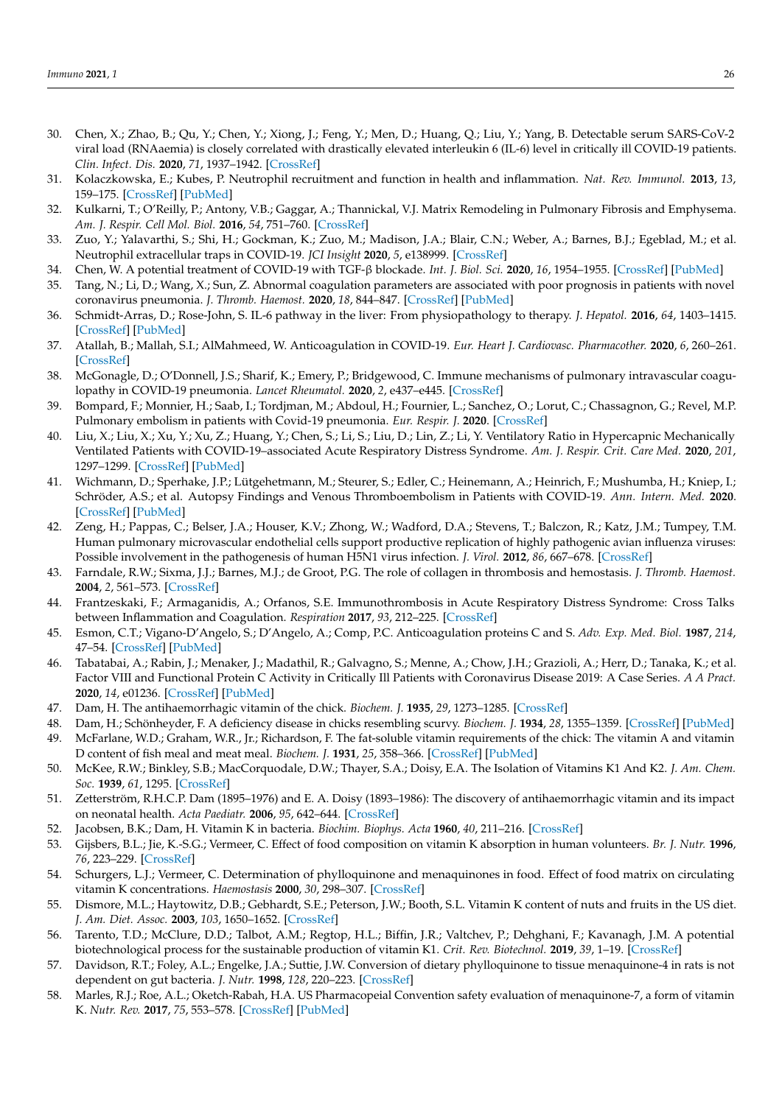- <span id="page-9-0"></span>30. Chen, X.; Zhao, B.; Qu, Y.; Chen, Y.; Xiong, J.; Feng, Y.; Men, D.; Huang, Q.; Liu, Y.; Yang, B. Detectable serum SARS-CoV-2 viral load (RNAaemia) is closely correlated with drastically elevated interleukin 6 (IL-6) level in critically ill COVID-19 patients. *Clin. Infect. Dis.* **2020**, *71*, 1937–1942. [\[CrossRef\]](http://doi.org/10.1093/cid/ciaa449)
- <span id="page-9-1"></span>31. Kolaczkowska, E.; Kubes, P. Neutrophil recruitment and function in health and inflammation. *Nat. Rev. Immunol.* **2013**, *13*, 159–175. [\[CrossRef\]](http://doi.org/10.1038/nri3399) [\[PubMed\]](http://www.ncbi.nlm.nih.gov/pubmed/23435331)
- <span id="page-9-2"></span>32. Kulkarni, T.; O'Reilly, P.; Antony, V.B.; Gaggar, A.; Thannickal, V.J. Matrix Remodeling in Pulmonary Fibrosis and Emphysema. *Am. J. Respir. Cell Mol. Biol.* **2016**, *54*, 751–760. [\[CrossRef\]](http://doi.org/10.1165/rcmb.2015-0166PS)
- <span id="page-9-3"></span>33. Zuo, Y.; Yalavarthi, S.; Shi, H.; Gockman, K.; Zuo, M.; Madison, J.A.; Blair, C.N.; Weber, A.; Barnes, B.J.; Egeblad, M.; et al. Neutrophil extracellular traps in COVID-19. *JCI Insight* **2020**, *5*, e138999. [\[CrossRef\]](http://doi.org/10.1172/jci.insight.138999)
- <span id="page-9-4"></span>34. Chen, W. A potential treatment of COVID-19 with TGF-β blockade. *Int. J. Biol. Sci.* **2020**, *16*, 1954–1955. [\[CrossRef\]](http://doi.org/10.7150/ijbs.46891) [\[PubMed\]](http://www.ncbi.nlm.nih.gov/pubmed/32398962)
- <span id="page-9-5"></span>35. Tang, N.; Li, D.; Wang, X.; Sun, Z. Abnormal coagulation parameters are associated with poor prognosis in patients with novel coronavirus pneumonia. *J. Thromb. Haemost.* **2020**, *18*, 844–847. [\[CrossRef\]](http://doi.org/10.1111/jth.14768) [\[PubMed\]](http://www.ncbi.nlm.nih.gov/pubmed/32073213)
- <span id="page-9-6"></span>36. Schmidt-Arras, D.; Rose-John, S. IL-6 pathway in the liver: From physiopathology to therapy. *J. Hepatol.* **2016**, *64*, 1403–1415. [\[CrossRef\]](http://doi.org/10.1016/j.jhep.2016.02.004) [\[PubMed\]](http://www.ncbi.nlm.nih.gov/pubmed/26867490)
- <span id="page-9-7"></span>37. Atallah, B.; Mallah, S.I.; AlMahmeed, W. Anticoagulation in COVID-19. *Eur. Heart J. Cardiovasc. Pharmacother.* **2020**, *6*, 260–261. [\[CrossRef\]](http://doi.org/10.1093/ehjcvp/pvaa036)
- <span id="page-9-8"></span>38. McGonagle, D.; O'Donnell, J.S.; Sharif, K.; Emery, P.; Bridgewood, C. Immune mechanisms of pulmonary intravascular coagulopathy in COVID-19 pneumonia. *Lancet Rheumatol.* **2020**, *2*, e437–e445. [\[CrossRef\]](http://doi.org/10.1016/S2665-9913(20)30121-1)
- <span id="page-9-9"></span>39. Bompard, F.; Monnier, H.; Saab, I.; Tordjman, M.; Abdoul, H.; Fournier, L.; Sanchez, O.; Lorut, C.; Chassagnon, G.; Revel, M.P. Pulmonary embolism in patients with Covid-19 pneumonia. *Eur. Respir. J.* **2020**. [\[CrossRef\]](http://doi.org/10.1183/13993003.01365-2020)
- <span id="page-9-10"></span>40. Liu, X.; Liu, X.; Xu, Y.; Xu, Z.; Huang, Y.; Chen, S.; Li, S.; Liu, D.; Lin, Z.; Li, Y. Ventilatory Ratio in Hypercapnic Mechanically Ventilated Patients with COVID-19–associated Acute Respiratory Distress Syndrome. *Am. J. Respir. Crit. Care Med.* **2020**, *201*, 1297–1299. [\[CrossRef\]](http://doi.org/10.1164/rccm.202002-0373LE) [\[PubMed\]](http://www.ncbi.nlm.nih.gov/pubmed/32203672)
- <span id="page-9-11"></span>41. Wichmann, D.; Sperhake, J.P.; Lütgehetmann, M.; Steurer, S.; Edler, C.; Heinemann, A.; Heinrich, F.; Mushumba, H.; Kniep, I.; Schröder, A.S.; et al. Autopsy Findings and Venous Thromboembolism in Patients with COVID-19. *Ann. Intern. Med.* **2020**. [\[CrossRef\]](http://doi.org/10.7326/M20-2003) [\[PubMed\]](http://www.ncbi.nlm.nih.gov/pubmed/32374815)
- <span id="page-9-12"></span>42. Zeng, H.; Pappas, C.; Belser, J.A.; Houser, K.V.; Zhong, W.; Wadford, D.A.; Stevens, T.; Balczon, R.; Katz, J.M.; Tumpey, T.M. Human pulmonary microvascular endothelial cells support productive replication of highly pathogenic avian influenza viruses: Possible involvement in the pathogenesis of human H5N1 virus infection. *J. Virol.* **2012**, *86*, 667–678. [\[CrossRef\]](http://doi.org/10.1128/JVI.06348-11)
- <span id="page-9-13"></span>43. Farndale, R.W.; Sixma, J.J.; Barnes, M.J.; de Groot, P.G. The role of collagen in thrombosis and hemostasis. *J. Thromb. Haemost.* **2004**, *2*, 561–573. [\[CrossRef\]](http://doi.org/10.1111/j.1538-7836.2004.00665.x)
- <span id="page-9-14"></span>44. Frantzeskaki, F.; Armaganidis, A.; Orfanos, S.E. Immunothrombosis in Acute Respiratory Distress Syndrome: Cross Talks between Inflammation and Coagulation. *Respiration* **2017**, *93*, 212–225. [\[CrossRef\]](http://doi.org/10.1159/000453002)
- <span id="page-9-15"></span>45. Esmon, C.T.; Vigano-D'Angelo, S.; D'Angelo, A.; Comp, P.C. Anticoagulation proteins C and S. *Adv. Exp. Med. Biol.* **1987**, *214*, 47–54. [\[CrossRef\]](http://doi.org/10.1007/978-1-4757-5985-3_4) [\[PubMed\]](http://www.ncbi.nlm.nih.gov/pubmed/2959034)
- <span id="page-9-16"></span>46. Tabatabai, A.; Rabin, J.; Menaker, J.; Madathil, R.; Galvagno, S.; Menne, A.; Chow, J.H.; Grazioli, A.; Herr, D.; Tanaka, K.; et al. Factor VIII and Functional Protein C Activity in Critically Ill Patients with Coronavirus Disease 2019: A Case Series. *A A Pract.* **2020**, *14*, e01236. [\[CrossRef\]](http://doi.org/10.1213/XAA.0000000000001236) [\[PubMed\]](http://www.ncbi.nlm.nih.gov/pubmed/32539272)
- <span id="page-9-17"></span>47. Dam, H. The antihaemorrhagic vitamin of the chick. *Biochem. J.* **1935**, *29*, 1273–1285. [\[CrossRef\]](http://doi.org/10.1042/bj0291273)
- 48. Dam, H.; Schönheyder, F. A deficiency disease in chicks resembling scurvy. *Biochem. J.* **1934**, *28*, 1355–1359. [\[CrossRef\]](http://doi.org/10.1042/bj0281355) [\[PubMed\]](http://www.ncbi.nlm.nih.gov/pubmed/16745523)
- <span id="page-9-18"></span>49. McFarlane, W.D.; Graham, W.R., Jr.; Richardson, F. The fat-soluble vitamin requirements of the chick: The vitamin A and vitamin D content of fish meal and meat meal. *Biochem. J.* **1931**, *25*, 358–366. [\[CrossRef\]](http://doi.org/10.1042/bj0250358) [\[PubMed\]](http://www.ncbi.nlm.nih.gov/pubmed/16744587)
- <span id="page-9-19"></span>50. McKee, R.W.; Binkley, S.B.; MacCorquodale, D.W.; Thayer, S.A.; Doisy, E.A. The Isolation of Vitamins K1 And K2. *J. Am. Chem. Soc.* **1939**, *61*, 1295. [\[CrossRef\]](http://doi.org/10.1021/ja01874a507)
- <span id="page-9-20"></span>51. Zetterström, R.H.C.P. Dam (1895–1976) and E. A. Doisy (1893–1986): The discovery of antihaemorrhagic vitamin and its impact on neonatal health. *Acta Paediatr.* **2006**, *95*, 642–644. [\[CrossRef\]](http://doi.org/10.1080/08035250600719739)
- <span id="page-9-21"></span>52. Jacobsen, B.K.; Dam, H. Vitamin K in bacteria. *Biochim. Biophys. Acta* **1960**, *40*, 211–216. [\[CrossRef\]](http://doi.org/10.1016/0006-3002(60)91344-5)
- <span id="page-9-22"></span>53. Gijsbers, B.L.; Jie, K.-S.G.; Vermeer, C. Effect of food composition on vitamin K absorption in human volunteers. *Br. J. Nutr.* **1996**, *76*, 223–229. [\[CrossRef\]](http://doi.org/10.1079/BJN19960027)
- <span id="page-9-23"></span>54. Schurgers, L.J.; Vermeer, C. Determination of phylloquinone and menaquinones in food. Effect of food matrix on circulating vitamin K concentrations. *Haemostasis* **2000**, *30*, 298–307. [\[CrossRef\]](http://doi.org/10.1159/000054147)
- <span id="page-9-24"></span>55. Dismore, M.L.; Haytowitz, D.B.; Gebhardt, S.E.; Peterson, J.W.; Booth, S.L. Vitamin K content of nuts and fruits in the US diet. *J. Am. Diet. Assoc.* **2003**, *103*, 1650–1652. [\[CrossRef\]](http://doi.org/10.1016/j.jada.2003.09.028)
- <span id="page-9-25"></span>56. Tarento, T.D.; McClure, D.D.; Talbot, A.M.; Regtop, H.L.; Biffin, J.R.; Valtchev, P.; Dehghani, F.; Kavanagh, J.M. A potential biotechnological process for the sustainable production of vitamin K1. *Crit. Rev. Biotechnol.* **2019**, *39*, 1–19. [\[CrossRef\]](http://doi.org/10.1080/07388551.2018.1474168)
- <span id="page-9-26"></span>57. Davidson, R.T.; Foley, A.L.; Engelke, J.A.; Suttie, J.W. Conversion of dietary phylloquinone to tissue menaquinone-4 in rats is not dependent on gut bacteria. *J. Nutr.* **1998**, *128*, 220–223. [\[CrossRef\]](http://doi.org/10.1093/jn/128.2.220)
- <span id="page-9-27"></span>58. Marles, R.J.; Roe, A.L.; Oketch-Rabah, H.A. US Pharmacopeial Convention safety evaluation of menaquinone-7, a form of vitamin K. *Nutr. Rev.* **2017**, *75*, 553–578. [\[CrossRef\]](http://doi.org/10.1093/nutrit/nux022) [\[PubMed\]](http://www.ncbi.nlm.nih.gov/pubmed/28838081)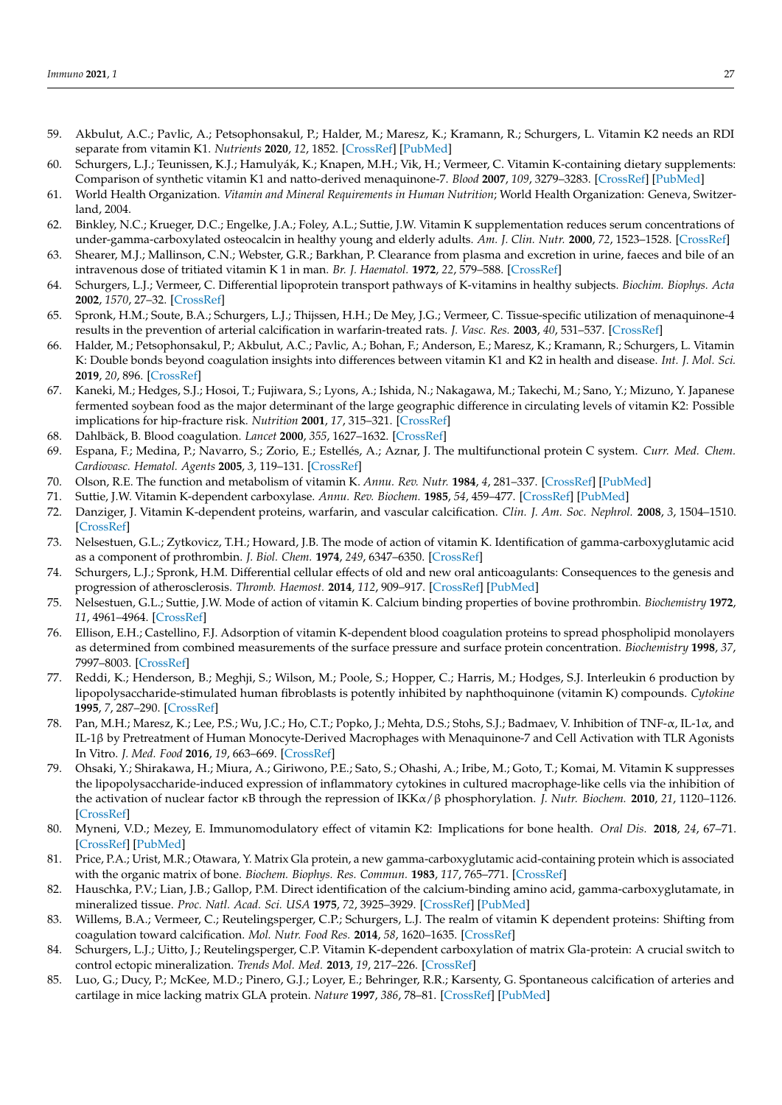- <span id="page-10-0"></span>59. Akbulut, A.C.; Pavlic, A.; Petsophonsakul, P.; Halder, M.; Maresz, K.; Kramann, R.; Schurgers, L. Vitamin K2 needs an RDI separate from vitamin K1. *Nutrients* **2020**, *12*, 1852. [\[CrossRef\]](http://doi.org/10.3390/nu12061852) [\[PubMed\]](http://www.ncbi.nlm.nih.gov/pubmed/32575901)
- <span id="page-10-1"></span>60. Schurgers, L.J.; Teunissen, K.J.; Hamulyák, K.; Knapen, M.H.; Vik, H.; Vermeer, C. Vitamin K-containing dietary supplements: Comparison of synthetic vitamin K1 and natto-derived menaquinone-7. *Blood* **2007**, *109*, 3279–3283. [\[CrossRef\]](http://doi.org/10.1182/blood-2006-08-040709) [\[PubMed\]](http://www.ncbi.nlm.nih.gov/pubmed/17158229)
- <span id="page-10-2"></span>61. World Health Organization. *Vitamin and Mineral Requirements in Human Nutrition*; World Health Organization: Geneva, Switzerland, 2004.
- <span id="page-10-3"></span>62. Binkley, N.C.; Krueger, D.C.; Engelke, J.A.; Foley, A.L.; Suttie, J.W. Vitamin K supplementation reduces serum concentrations of under-gamma-carboxylated osteocalcin in healthy young and elderly adults. *Am. J. Clin. Nutr.* **2000**, *72*, 1523–1528. [\[CrossRef\]](http://doi.org/10.1093/ajcn/72.6.1523)
- <span id="page-10-4"></span>63. Shearer, M.J.; Mallinson, C.N.; Webster, G.R.; Barkhan, P. Clearance from plasma and excretion in urine, faeces and bile of an intravenous dose of tritiated vitamin K 1 in man. *Br. J. Haematol.* **1972**, *22*, 579–588. [\[CrossRef\]](http://doi.org/10.1111/j.1365-2141.1972.tb05704.x)
- <span id="page-10-5"></span>64. Schurgers, L.J.; Vermeer, C. Differential lipoprotein transport pathways of K-vitamins in healthy subjects. *Biochim. Biophys. Acta* **2002**, *1570*, 27–32. [\[CrossRef\]](http://doi.org/10.1016/S0304-4165(02)00147-2)
- <span id="page-10-6"></span>65. Spronk, H.M.; Soute, B.A.; Schurgers, L.J.; Thijssen, H.H.; De Mey, J.G.; Vermeer, C. Tissue-specific utilization of menaquinone-4 results in the prevention of arterial calcification in warfarin-treated rats. *J. Vasc. Res.* **2003**, *40*, 531–537. [\[CrossRef\]](http://doi.org/10.1159/000075344)
- <span id="page-10-7"></span>66. Halder, M.; Petsophonsakul, P.; Akbulut, A.C.; Pavlic, A.; Bohan, F.; Anderson, E.; Maresz, K.; Kramann, R.; Schurgers, L. Vitamin K: Double bonds beyond coagulation insights into differences between vitamin K1 and K2 in health and disease. *Int. J. Mol. Sci.* **2019**, *20*, 896. [\[CrossRef\]](http://doi.org/10.3390/ijms20040896)
- <span id="page-10-8"></span>67. Kaneki, M.; Hedges, S.J.; Hosoi, T.; Fujiwara, S.; Lyons, A.; Ishida, N.; Nakagawa, M.; Takechi, M.; Sano, Y.; Mizuno, Y. Japanese fermented soybean food as the major determinant of the large geographic difference in circulating levels of vitamin K2: Possible implications for hip-fracture risk. *Nutrition* **2001**, *17*, 315–321. [\[CrossRef\]](http://doi.org/10.1016/S0899-9007(00)00554-2)
- <span id="page-10-9"></span>68. Dahlbäck, B. Blood coagulation. *Lancet* **2000**, *355*, 1627–1632. [\[CrossRef\]](http://doi.org/10.1016/S0140-6736(00)02225-X)
- <span id="page-10-10"></span>69. Espana, F.; Medina, P.; Navarro, S.; Zorio, E.; Estellés, A.; Aznar, J. The multifunctional protein C system. *Curr. Med. Chem. Cardiovasc. Hematol. Agents* **2005**, *3*, 119–131. [\[CrossRef\]](http://doi.org/10.2174/1568016053544336)
- <span id="page-10-11"></span>70. Olson, R.E. The function and metabolism of vitamin K. *Annu. Rev. Nutr.* **1984**, *4*, 281–337. [\[CrossRef\]](http://doi.org/10.1146/annurev.nu.04.070184.001433) [\[PubMed\]](http://www.ncbi.nlm.nih.gov/pubmed/6380538)
- 71. Suttie, J.W. Vitamin K-dependent carboxylase. *Annu. Rev. Biochem.* **1985**, *54*, 459–477. [\[CrossRef\]](http://doi.org/10.1146/annurev.bi.54.070185.002331) [\[PubMed\]](http://www.ncbi.nlm.nih.gov/pubmed/3896125)
- <span id="page-10-12"></span>72. Danziger, J. Vitamin K-dependent proteins, warfarin, and vascular calcification. *Clin. J. Am. Soc. Nephrol.* **2008**, *3*, 1504–1510. [\[CrossRef\]](http://doi.org/10.2215/CJN.00770208)
- <span id="page-10-13"></span>73. Nelsestuen, G.L.; Zytkovicz, T.H.; Howard, J.B. The mode of action of vitamin K. Identification of gamma-carboxyglutamic acid as a component of prothrombin. *J. Biol. Chem.* **1974**, *249*, 6347–6350. [\[CrossRef\]](http://doi.org/10.1016/S0021-9258(19)42259-X)
- <span id="page-10-14"></span>74. Schurgers, L.J.; Spronk, H.M. Differential cellular effects of old and new oral anticoagulants: Consequences to the genesis and progression of atherosclerosis. *Thromb. Haemost.* **2014**, *112*, 909–917. [\[CrossRef\]](http://doi.org/10.1160/th14-03-0268) [\[PubMed\]](http://www.ncbi.nlm.nih.gov/pubmed/25298033)
- 75. Nelsestuen, G.L.; Suttie, J.W. Mode of action of vitamin K. Calcium binding properties of bovine prothrombin. *Biochemistry* **1972**, *11*, 4961–4964. [\[CrossRef\]](http://doi.org/10.1021/bi00776a013)
- <span id="page-10-15"></span>76. Ellison, E.H.; Castellino, F.J. Adsorption of vitamin K-dependent blood coagulation proteins to spread phospholipid monolayers as determined from combined measurements of the surface pressure and surface protein concentration. *Biochemistry* **1998**, *37*, 7997–8003. [\[CrossRef\]](http://doi.org/10.1021/bi973118+)
- <span id="page-10-16"></span>77. Reddi, K.; Henderson, B.; Meghji, S.; Wilson, M.; Poole, S.; Hopper, C.; Harris, M.; Hodges, S.J. Interleukin 6 production by lipopolysaccharide-stimulated human fibroblasts is potently inhibited by naphthoquinone (vitamin K) compounds. *Cytokine* **1995**, *7*, 287–290. [\[CrossRef\]](http://doi.org/10.1006/cyto.1995.0034)
- 78. Pan, M.H.; Maresz, K.; Lee, P.S.; Wu, J.C.; Ho, C.T.; Popko, J.; Mehta, D.S.; Stohs, S.J.; Badmaev, V. Inhibition of TNF-α, IL-1α, and IL-1β by Pretreatment of Human Monocyte-Derived Macrophages with Menaquinone-7 and Cell Activation with TLR Agonists In Vitro. *J. Med. Food* **2016**, *19*, 663–669. [\[CrossRef\]](http://doi.org/10.1089/jmf.2016.0030)
- <span id="page-10-17"></span>79. Ohsaki, Y.; Shirakawa, H.; Miura, A.; Giriwono, P.E.; Sato, S.; Ohashi, A.; Iribe, M.; Goto, T.; Komai, M. Vitamin K suppresses the lipopolysaccharide-induced expression of inflammatory cytokines in cultured macrophage-like cells via the inhibition of the activation of nuclear factor κB through the repression of IKKα/β phosphorylation. *J. Nutr. Biochem.* **2010**, *21*, 1120–1126. [\[CrossRef\]](http://doi.org/10.1016/j.jnutbio.2009.09.011)
- <span id="page-10-18"></span>80. Myneni, V.D.; Mezey, E. Immunomodulatory effect of vitamin K2: Implications for bone health. *Oral Dis.* **2018**, *24*, 67–71. [\[CrossRef\]](http://doi.org/10.1111/odi.12759) [\[PubMed\]](http://www.ncbi.nlm.nih.gov/pubmed/29480629)
- <span id="page-10-19"></span>81. Price, P.A.; Urist, M.R.; Otawara, Y. Matrix Gla protein, a new gamma-carboxyglutamic acid-containing protein which is associated with the organic matrix of bone. *Biochem. Biophys. Res. Commun.* **1983**, *117*, 765–771. [\[CrossRef\]](http://doi.org/10.1016/0006-291X(83)91663-7)
- 82. Hauschka, P.V.; Lian, J.B.; Gallop, P.M. Direct identification of the calcium-binding amino acid, gamma-carboxyglutamate, in mineralized tissue. *Proc. Natl. Acad. Sci. USA* **1975**, *72*, 3925–3929. [\[CrossRef\]](http://doi.org/10.1073/pnas.72.10.3925) [\[PubMed\]](http://www.ncbi.nlm.nih.gov/pubmed/1060074)
- <span id="page-10-20"></span>83. Willems, B.A.; Vermeer, C.; Reutelingsperger, C.P.; Schurgers, L.J. The realm of vitamin K dependent proteins: Shifting from coagulation toward calcification. *Mol. Nutr. Food Res.* **2014**, *58*, 1620–1635. [\[CrossRef\]](http://doi.org/10.1002/mnfr.201300743)
- <span id="page-10-21"></span>84. Schurgers, L.J.; Uitto, J.; Reutelingsperger, C.P. Vitamin K-dependent carboxylation of matrix Gla-protein: A crucial switch to control ectopic mineralization. *Trends Mol. Med.* **2013**, *19*, 217–226. [\[CrossRef\]](http://doi.org/10.1016/j.molmed.2012.12.008)
- <span id="page-10-22"></span>85. Luo, G.; Ducy, P.; McKee, M.D.; Pinero, G.J.; Loyer, E.; Behringer, R.R.; Karsenty, G. Spontaneous calcification of arteries and cartilage in mice lacking matrix GLA protein. *Nature* **1997**, *386*, 78–81. [\[CrossRef\]](http://doi.org/10.1038/386078a0) [\[PubMed\]](http://www.ncbi.nlm.nih.gov/pubmed/9052783)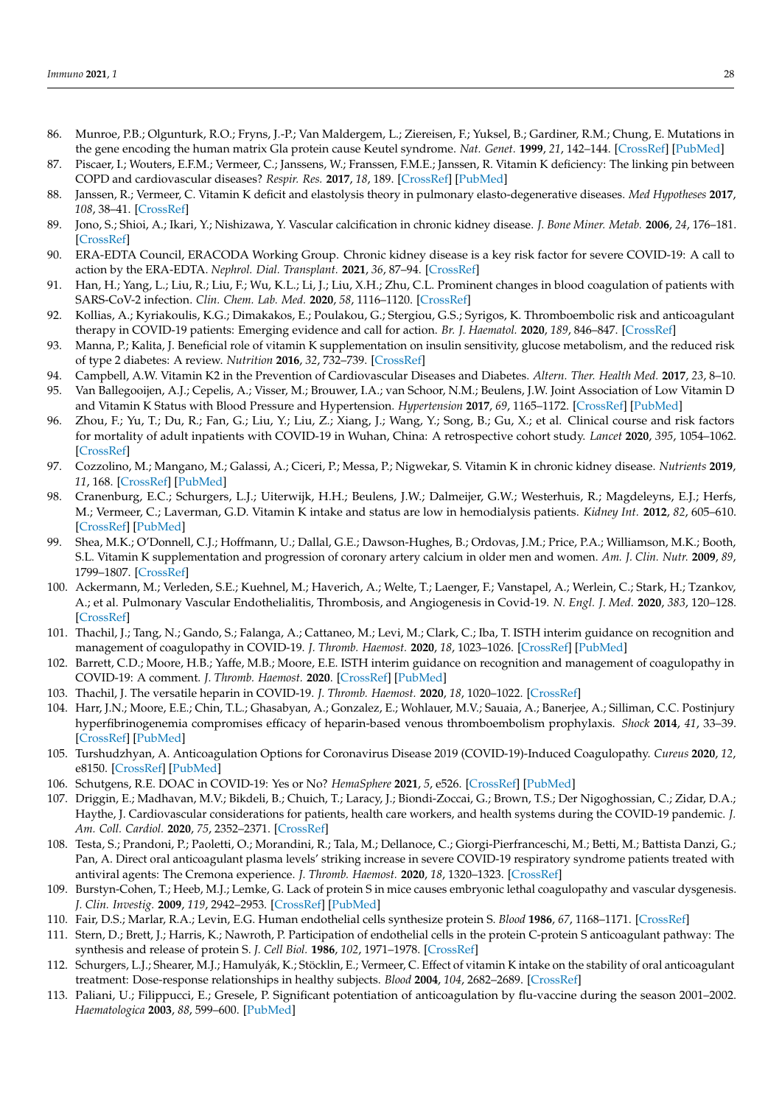- <span id="page-11-0"></span>86. Munroe, P.B.; Olgunturk, R.O.; Fryns, J.-P.; Van Maldergem, L.; Ziereisen, F.; Yuksel, B.; Gardiner, R.M.; Chung, E. Mutations in the gene encoding the human matrix Gla protein cause Keutel syndrome. *Nat. Genet.* **1999**, *21*, 142–144. [\[CrossRef\]](http://doi.org/10.1038/5102) [\[PubMed\]](http://www.ncbi.nlm.nih.gov/pubmed/9916809)
- <span id="page-11-1"></span>87. Piscaer, I.; Wouters, E.F.M.; Vermeer, C.; Janssens, W.; Franssen, F.M.E.; Janssen, R. Vitamin K deficiency: The linking pin between COPD and cardiovascular diseases? *Respir. Res.* **2017**, *18*, 189. [\[CrossRef\]](http://doi.org/10.1186/s12931-017-0673-z) [\[PubMed\]](http://www.ncbi.nlm.nih.gov/pubmed/29132356)
- <span id="page-11-2"></span>88. Janssen, R.; Vermeer, C. Vitamin K deficit and elastolysis theory in pulmonary elasto-degenerative diseases. *Med Hypotheses* **2017**, *108*, 38–41. [\[CrossRef\]](http://doi.org/10.1016/j.mehy.2017.07.029)
- <span id="page-11-3"></span>89. Jono, S.; Shioi, A.; Ikari, Y.; Nishizawa, Y. Vascular calcification in chronic kidney disease. *J. Bone Miner. Metab.* **2006**, *24*, 176–181. [\[CrossRef\]](http://doi.org/10.1007/s00774-005-0668-6)
- <span id="page-11-4"></span>90. ERA-EDTA Council, ERACODA Working Group. Chronic kidney disease is a key risk factor for severe COVID-19: A call to action by the ERA-EDTA. *Nephrol. Dial. Transplant.* **2021**, *36*, 87–94. [\[CrossRef\]](http://doi.org/10.1093/ndt/gfaa314)
- <span id="page-11-5"></span>91. Han, H.; Yang, L.; Liu, R.; Liu, F.; Wu, K.L.; Li, J.; Liu, X.H.; Zhu, C.L. Prominent changes in blood coagulation of patients with SARS-CoV-2 infection. *Clin. Chem. Lab. Med.* **2020**, *58*, 1116–1120. [\[CrossRef\]](http://doi.org/10.1515/cclm-2020-0188)
- <span id="page-11-6"></span>92. Kollias, A.; Kyriakoulis, K.G.; Dimakakos, E.; Poulakou, G.; Stergiou, G.S.; Syrigos, K. Thromboembolic risk and anticoagulant therapy in COVID-19 patients: Emerging evidence and call for action. *Br. J. Haematol.* **2020**, *189*, 846–847. [\[CrossRef\]](http://doi.org/10.1111/bjh.16727)
- <span id="page-11-7"></span>93. Manna, P.; Kalita, J. Beneficial role of vitamin K supplementation on insulin sensitivity, glucose metabolism, and the reduced risk of type 2 diabetes: A review. *Nutrition* **2016**, *32*, 732–739. [\[CrossRef\]](http://doi.org/10.1016/j.nut.2016.01.011)
- <span id="page-11-8"></span>94. Campbell, A.W. Vitamin K2 in the Prevention of Cardiovascular Diseases and Diabetes. *Altern. Ther. Health Med.* **2017**, *23*, 8–10. 95. Van Ballegooijen, A.J.; Cepelis, A.; Visser, M.; Brouwer, I.A.; van Schoor, N.M.; Beulens, J.W. Joint Association of Low Vitamin D
- and Vitamin K Status with Blood Pressure and Hypertension. *Hypertension* **2017**, *69*, 1165–1172. [\[CrossRef\]](http://doi.org/10.1161/HYPERTENSIONAHA.116.08869) [\[PubMed\]](http://www.ncbi.nlm.nih.gov/pubmed/28396533)
- <span id="page-11-9"></span>96. Zhou, F.; Yu, T.; Du, R.; Fan, G.; Liu, Y.; Liu, Z.; Xiang, J.; Wang, Y.; Song, B.; Gu, X.; et al. Clinical course and risk factors for mortality of adult inpatients with COVID-19 in Wuhan, China: A retrospective cohort study. *Lancet* **2020**, *395*, 1054–1062. [\[CrossRef\]](http://doi.org/10.1016/S0140-6736(20)30566-3)
- <span id="page-11-10"></span>97. Cozzolino, M.; Mangano, M.; Galassi, A.; Ciceri, P.; Messa, P.; Nigwekar, S. Vitamin K in chronic kidney disease. *Nutrients* **2019**, *11*, 168. [\[CrossRef\]](http://doi.org/10.3390/nu11010168) [\[PubMed\]](http://www.ncbi.nlm.nih.gov/pubmed/30646590)
- <span id="page-11-11"></span>98. Cranenburg, E.C.; Schurgers, L.J.; Uiterwijk, H.H.; Beulens, J.W.; Dalmeijer, G.W.; Westerhuis, R.; Magdeleyns, E.J.; Herfs, M.; Vermeer, C.; Laverman, G.D. Vitamin K intake and status are low in hemodialysis patients. *Kidney Int.* **2012**, *82*, 605–610. [\[CrossRef\]](http://doi.org/10.1038/ki.2012.191) [\[PubMed\]](http://www.ncbi.nlm.nih.gov/pubmed/22648294)
- <span id="page-11-12"></span>99. Shea, M.K.; O'Donnell, C.J.; Hoffmann, U.; Dallal, G.E.; Dawson-Hughes, B.; Ordovas, J.M.; Price, P.A.; Williamson, M.K.; Booth, S.L. Vitamin K supplementation and progression of coronary artery calcium in older men and women. *Am. J. Clin. Nutr.* **2009**, *89*, 1799–1807. [\[CrossRef\]](http://doi.org/10.3945/ajcn.2008.27338)
- <span id="page-11-13"></span>100. Ackermann, M.; Verleden, S.E.; Kuehnel, M.; Haverich, A.; Welte, T.; Laenger, F.; Vanstapel, A.; Werlein, C.; Stark, H.; Tzankov, A.; et al. Pulmonary Vascular Endothelialitis, Thrombosis, and Angiogenesis in Covid-19. *N. Engl. J. Med.* **2020**, *383*, 120–128. [\[CrossRef\]](http://doi.org/10.1056/NEJMoa2015432)
- <span id="page-11-14"></span>101. Thachil, J.; Tang, N.; Gando, S.; Falanga, A.; Cattaneo, M.; Levi, M.; Clark, C.; Iba, T. ISTH interim guidance on recognition and management of coagulopathy in COVID-19. *J. Thromb. Haemost.* **2020**, *18*, 1023–1026. [\[CrossRef\]](http://doi.org/10.1111/jth.14810) [\[PubMed\]](http://www.ncbi.nlm.nih.gov/pubmed/32338827)
- <span id="page-11-15"></span>102. Barrett, C.D.; Moore, H.B.; Yaffe, M.B.; Moore, E.E. ISTH interim guidance on recognition and management of coagulopathy in COVID-19: A comment. *J. Thromb. Haemost.* **2020**. [\[CrossRef\]](http://doi.org/10.1111/jth.14860) [\[PubMed\]](http://www.ncbi.nlm.nih.gov/pubmed/32302462)
- <span id="page-11-16"></span>103. Thachil, J. The versatile heparin in COVID-19. *J. Thromb. Haemost.* **2020**, *18*, 1020–1022. [\[CrossRef\]](http://doi.org/10.1111/jth.14821)
- <span id="page-11-17"></span>104. Harr, J.N.; Moore, E.E.; Chin, T.L.; Ghasabyan, A.; Gonzalez, E.; Wohlauer, M.V.; Sauaia, A.; Banerjee, A.; Silliman, C.C. Postinjury hyperfibrinogenemia compromises efficacy of heparin-based venous thromboembolism prophylaxis. *Shock* **2014**, *41*, 33–39. [\[CrossRef\]](http://doi.org/10.1097/SHK.0000000000000067) [\[PubMed\]](http://www.ncbi.nlm.nih.gov/pubmed/24351527)
- <span id="page-11-18"></span>105. Turshudzhyan, A. Anticoagulation Options for Coronavirus Disease 2019 (COVID-19)-Induced Coagulopathy. *Cureus* **2020**, *12*, e8150. [\[CrossRef\]](http://doi.org/10.7759/cureus.8150) [\[PubMed\]](http://www.ncbi.nlm.nih.gov/pubmed/32550069)
- <span id="page-11-19"></span>106. Schutgens, R.E. DOAC in COVID-19: Yes or No? *HemaSphere* **2021**, *5*, e526. [\[CrossRef\]](http://doi.org/10.1097/HS9.0000000000000526) [\[PubMed\]](http://www.ncbi.nlm.nih.gov/pubmed/33403357)
- <span id="page-11-20"></span>107. Driggin, E.; Madhavan, M.V.; Bikdeli, B.; Chuich, T.; Laracy, J.; Biondi-Zoccai, G.; Brown, T.S.; Der Nigoghossian, C.; Zidar, D.A.; Haythe, J. Cardiovascular considerations for patients, health care workers, and health systems during the COVID-19 pandemic. *J. Am. Coll. Cardiol.* **2020**, *75*, 2352–2371. [\[CrossRef\]](http://doi.org/10.1016/j.jacc.2020.03.031)
- <span id="page-11-21"></span>108. Testa, S.; Prandoni, P.; Paoletti, O.; Morandini, R.; Tala, M.; Dellanoce, C.; Giorgi-Pierfranceschi, M.; Betti, M.; Battista Danzi, G.; Pan, A. Direct oral anticoagulant plasma levels' striking increase in severe COVID-19 respiratory syndrome patients treated with antiviral agents: The Cremona experience. *J. Thromb. Haemost.* **2020**, *18*, 1320–1323. [\[CrossRef\]](http://doi.org/10.1111/jth.14871)
- <span id="page-11-22"></span>109. Burstyn-Cohen, T.; Heeb, M.J.; Lemke, G. Lack of protein S in mice causes embryonic lethal coagulopathy and vascular dysgenesis. *J. Clin. Investig.* **2009**, *119*, 2942–2953. [\[CrossRef\]](http://doi.org/10.1172/JCI39325) [\[PubMed\]](http://www.ncbi.nlm.nih.gov/pubmed/19729839)
- 110. Fair, D.S.; Marlar, R.A.; Levin, E.G. Human endothelial cells synthesize protein S. *Blood* **1986**, *67*, 1168–1171. [\[CrossRef\]](http://doi.org/10.1182/blood.V67.4.1168.1168)
- <span id="page-11-23"></span>111. Stern, D.; Brett, J.; Harris, K.; Nawroth, P. Participation of endothelial cells in the protein C-protein S anticoagulant pathway: The synthesis and release of protein S. *J. Cell Biol.* **1986**, *102*, 1971–1978. [\[CrossRef\]](http://doi.org/10.1083/jcb.102.5.1971)
- <span id="page-11-24"></span>112. Schurgers, L.J.; Shearer, M.J.; Hamulyák, K.; Stöcklin, E.; Vermeer, C. Effect of vitamin K intake on the stability of oral anticoagulant treatment: Dose-response relationships in healthy subjects. *Blood* **2004**, *104*, 2682–2689. [\[CrossRef\]](http://doi.org/10.1182/blood-2004-04-1525)
- <span id="page-11-25"></span>113. Paliani, U.; Filippucci, E.; Gresele, P. Significant potentiation of anticoagulation by flu-vaccine during the season 2001–2002. *Haematologica* **2003**, *88*, 599–600. [\[PubMed\]](http://www.ncbi.nlm.nih.gov/pubmed/12745282)